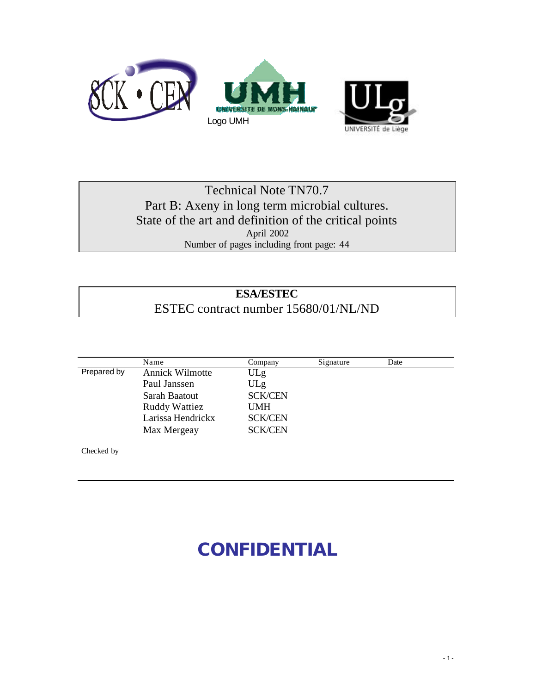

## Technical Note TN70.7 Part B: Axeny in long term microbial cultures. State of the art and definition of the critical points April 2002 Number of pages including front page: 44

## **ESA/ESTEC** ESTEC contract number 15680/01/NL/ND

|             | Name                   | Company        | Signature | Date |  |
|-------------|------------------------|----------------|-----------|------|--|
| Prepared by | <b>Annick Wilmotte</b> | ULg            |           |      |  |
|             | Paul Janssen           | ULg            |           |      |  |
|             | Sarah Baatout          | <b>SCK/CEN</b> |           |      |  |
|             | <b>Ruddy Wattiez</b>   | <b>UMH</b>     |           |      |  |
|             | Larissa Hendrickx      | <b>SCK/CEN</b> |           |      |  |
|             | Max Mergeay            | <b>SCK/CEN</b> |           |      |  |
|             |                        |                |           |      |  |

Checked by

# **CONFIDENTIAL**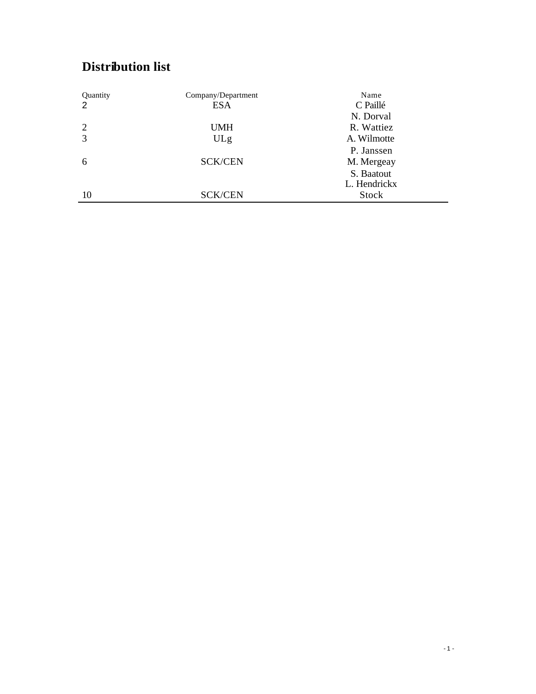## **Distribution list**

| Quantity | Company/Department | Name         |
|----------|--------------------|--------------|
| 2        | <b>ESA</b>         | C Paillé     |
|          |                    | N. Dorval    |
| 2        | <b>UMH</b>         | R. Wattiez   |
| 3        | ULg                | A. Wilmotte  |
|          |                    | P. Janssen   |
| 6        | <b>SCK/CEN</b>     | M. Mergeay   |
|          |                    | S. Baatout   |
|          |                    | L. Hendrickx |
| 10       | <b>SCK/CEN</b>     | Stock        |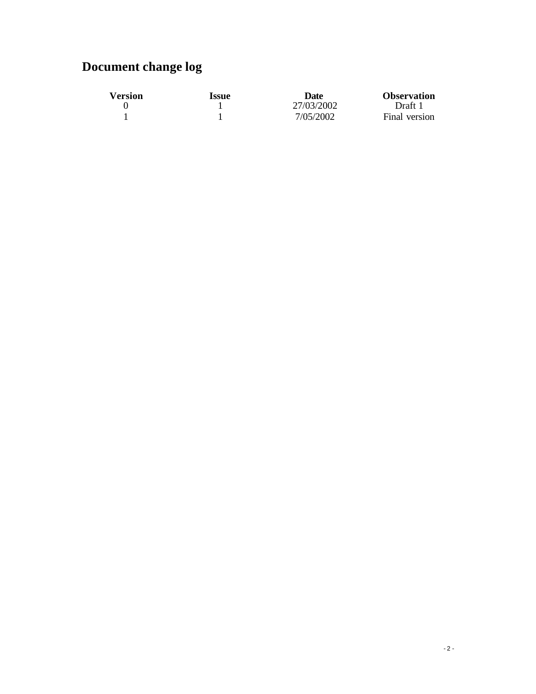## **Document change log**

| <b>Version</b> | Issue | Date       | <b>Observation</b> |
|----------------|-------|------------|--------------------|
|                |       | 27/03/2002 | Draft 1            |
|                |       | 7/05/2002  | Final version      |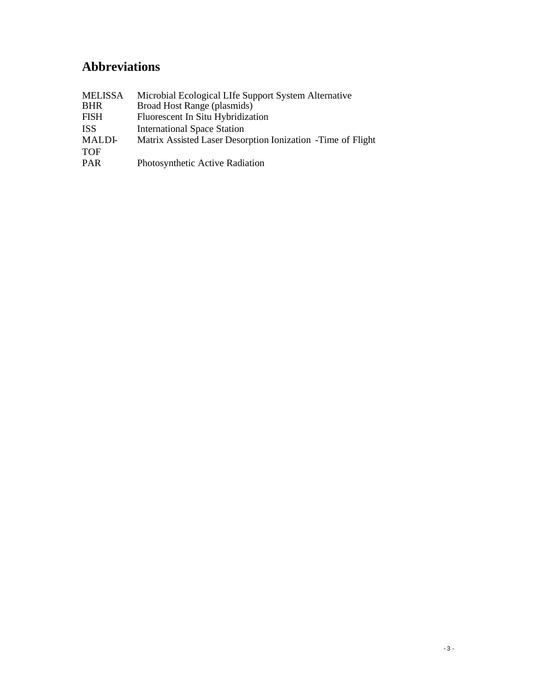## **Abbreviations**

| <b>MELISSA</b> | Microbial Ecological LIfe Support System Alternative        |
|----------------|-------------------------------------------------------------|
| <b>BHR</b>     | Broad Host Range (plasmids)                                 |
| <b>FISH</b>    | Fluorescent In Situ Hybridization                           |
| <b>ISS</b>     | <b>International Space Station</b>                          |
| <b>MALDI-</b>  | Matrix Assisted Laser Desorption Ionization -Time of Flight |
| <b>TOF</b>     |                                                             |
| <b>PAR</b>     | Photosynthetic Active Radiation                             |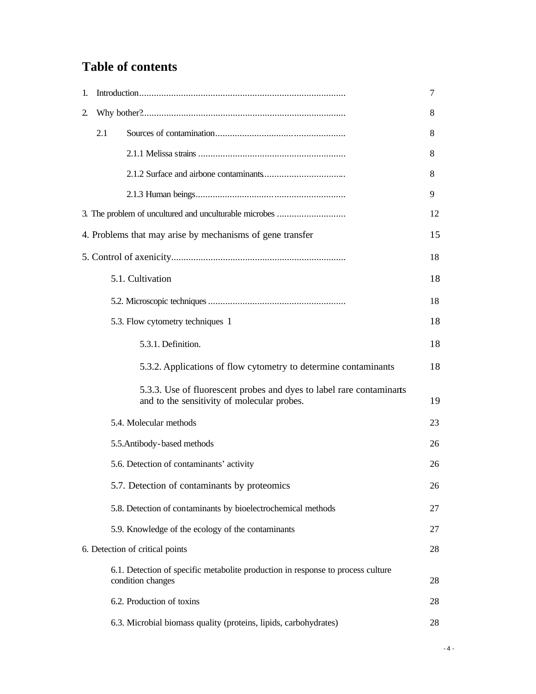## **Table of contents**

| 1. |     |                                                                                                                     | 7  |
|----|-----|---------------------------------------------------------------------------------------------------------------------|----|
| 2. |     |                                                                                                                     | 8  |
|    | 2.1 |                                                                                                                     | 8  |
|    |     |                                                                                                                     | 8  |
|    |     |                                                                                                                     | 8  |
|    |     |                                                                                                                     | 9  |
|    |     | 3. The problem of uncultured and unculturable microbes                                                              | 12 |
|    |     | 4. Problems that may arise by mechanisms of gene transfer                                                           | 15 |
|    |     |                                                                                                                     | 18 |
|    |     | 5.1. Cultivation                                                                                                    | 18 |
|    |     |                                                                                                                     | 18 |
|    |     | 5.3. Flow cytometry techniques 1                                                                                    | 18 |
|    |     | 5.3.1. Definition.                                                                                                  | 18 |
|    |     | 5.3.2. Applications of flow cytometry to determine contaminants                                                     | 18 |
|    |     | 5.3.3. Use of fluorescent probes and dyes to label rare contaminants<br>and to the sensitivity of molecular probes. | 19 |
|    |     | 5.4. Molecular methods                                                                                              | 23 |
|    |     | 5.5. Antibody-based methods                                                                                         | 26 |
|    |     | 5.6. Detection of contaminants' activity                                                                            | 26 |
|    |     | 5.7. Detection of contaminants by proteomics                                                                        | 26 |
|    |     | 5.8. Detection of contaminants by bioelectrochemical methods                                                        | 27 |
|    |     | 5.9. Knowledge of the ecology of the contaminants                                                                   | 27 |
|    |     | 6. Detection of critical points                                                                                     | 28 |
|    |     | 6.1. Detection of specific metabolite production in response to process culture<br>condition changes                | 28 |
|    |     | 6.2. Production of toxins                                                                                           | 28 |
|    |     | 6.3. Microbial biomass quality (proteins, lipids, carbohydrates)                                                    | 28 |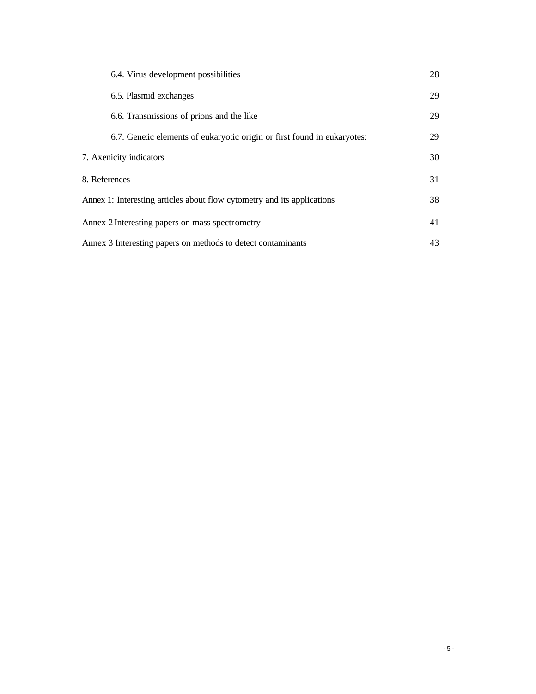| 6.4. Virus development possibilities                                     | 28 |
|--------------------------------------------------------------------------|----|
| 6.5. Plasmid exchanges                                                   | 29 |
| 6.6. Transmissions of prions and the like                                | 29 |
| 6.7. Genetic elements of eukaryotic origin or first found in eukaryotes: | 29 |
| 7. Axenicity indicators                                                  | 30 |
| 8. References                                                            | 31 |
| Annex 1: Interesting articles about flow cytometry and its applications  | 38 |
| Annex 2 Interesting papers on mass spectrometry                          | 41 |
| Annex 3 Interesting papers on methods to detect contaminants             | 43 |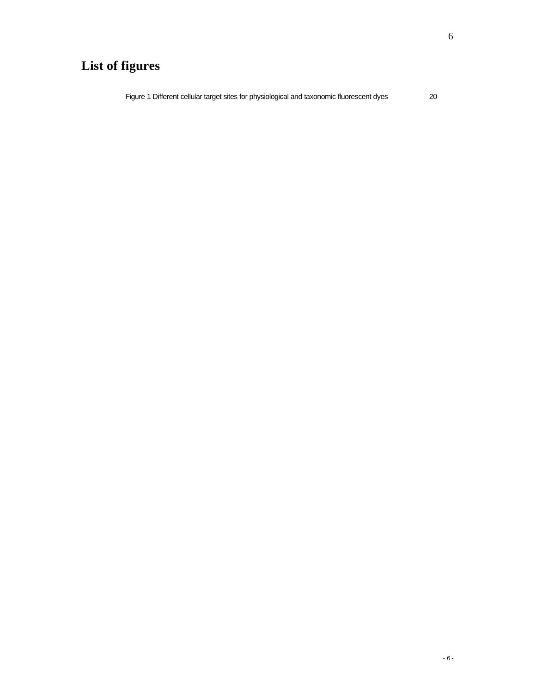## **List of figures**

Figure 1 Different cellular target sites for physiological and taxonomic fluorescent dyes 20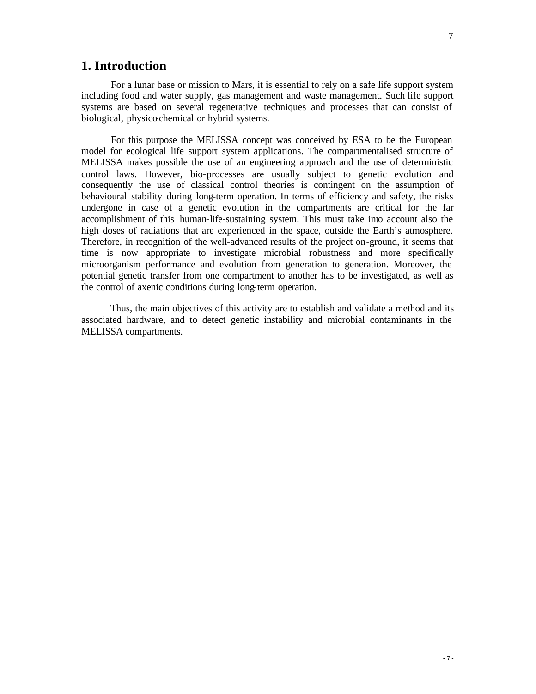## **1. Introduction**

For a lunar base or mission to Mars, it is essential to rely on a safe life support system including food and water supply, gas management and waste management. Such life support systems are based on several regenerative techniques and processes that can consist of biological, physico-chemical or hybrid systems.

For this purpose the MELISSA concept was conceived by ESA to be the European model for ecological life support system applications. The compartmentalised structure of MELISSA makes possible the use of an engineering approach and the use of deterministic control laws. However, bio-processes are usually subject to genetic evolution and consequently the use of classical control theories is contingent on the assumption of behavioural stability during long-term operation. In terms of efficiency and safety, the risks undergone in case of a genetic evolution in the compartments are critical for the far accomplishment of this human-life-sustaining system. This must take into account also the high doses of radiations that are experienced in the space, outside the Earth's atmosphere. Therefore, in recognition of the well-advanced results of the project on-ground, it seems that time is now appropriate to investigate microbial robustness and more specifically microorganism performance and evolution from generation to generation. Moreover, the potential genetic transfer from one compartment to another has to be investigated, as well as the control of axenic conditions during long-term operation.

Thus, the main objectives of this activity are to establish and validate a method and its associated hardware, and to detect genetic instability and microbial contaminants in the MELISSA compartments.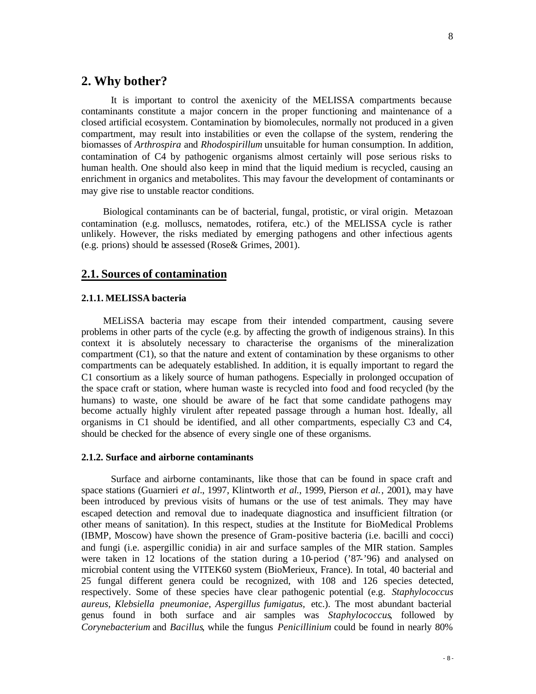### **2. Why bother?**

It is important to control the axenicity of the MELISSA compartments because contaminants constitute a major concern in the proper functioning and maintenance of a closed artificial ecosystem. Contamination by biomolecules, normally not produced in a given compartment, may result into instabilities or even the collapse of the system, rendering the biomasses of *Arthrospira* and *Rhodospirillum* unsuitable for human consumption. In addition, contamination of C4 by pathogenic organisms almost certainly will pose serious risks to human health. One should also keep in mind that the liquid medium is recycled, causing an enrichment in organics and metabolites. This may favour the development of contaminants or may give rise to unstable reactor conditions.

Biological contaminants can be of bacterial, fungal, protistic, or viral origin. Metazoan contamination (e.g. molluscs, nematodes, rotifera, etc.) of the MELISSA cycle is rather unlikely. However, the risks mediated by emerging pathogens and other infectious agents (e.g. prions) should be assessed (Rose& Grimes, 2001).

### **2.1. Sources of contamination**

#### **2.1.1. MELISSA bacteria**

MELiSSA bacteria may escape from their intended compartment, causing severe problems in other parts of the cycle (e.g. by affecting the growth of indigenous strains). In this context it is absolutely necessary to characterise the organisms of the mineralization compartment (C1), so that the nature and extent of contamination by these organisms to other compartments can be adequately established. In addition, it is equally important to regard the C1 consortium as a likely source of human pathogens. Especially in prolonged occupation of the space craft or station, where human waste is recycled into food and food recycled (by the humans) to waste, one should be aware of he fact that some candidate pathogens may become actually highly virulent after repeated passage through a human host. Ideally, all organisms in C1 should be identified, and all other compartments, especially C3 and C4, should be checked for the absence of every single one of these organisms.

#### **2.1.2. Surface and airborne contaminants**

Surface and airborne contaminants, like those that can be found in space craft and space stations (Guarnieri *et al.*, 1997, Klintworth *et al.*, 1999, Pierson *et al.*, 2001), may have been introduced by previous visits of humans or the use of test animals. They may have escaped detection and removal due to inadequate diagnostica and insufficient filtration (or other means of sanitation). In this respect, studies at the Institute for BioMedical Problems (IBMP, Moscow) have shown the presence of Gram-positive bacteria (i.e. bacilli and cocci) and fungi (i.e. aspergillic conidia) in air and surface samples of the MIR station. Samples were taken in 12 locations of the station during a 10-period ('87-'96) and analysed on microbial content using the VITEK60 system (BioMerieux, France). In total, 40 bacterial and 25 fungal different genera could be recognized, with 108 and 126 species detected, respectively. Some of these species have clear pathogenic potential (e.g. *Staphylococcus aureus*, *Klebsiella pneumoniae*, *Aspergillus fumigatus,* etc.). The most abundant bacterial genus found in both surface and air samples was *Staphylococcus*, followed by *Corynebacterium* and *Bacillus*, while the fungus *Penicillinium* could be found in nearly 80%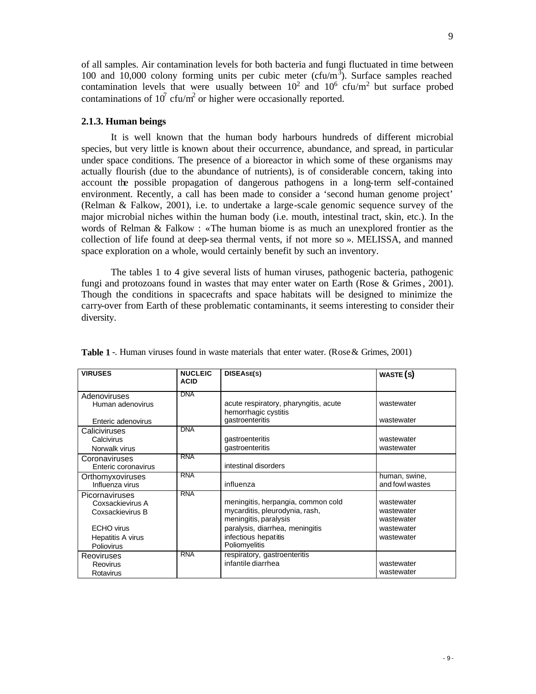of all samples. Air contamination levels for both bacteria and fungi fluctuated in time between 100 and  $10,000$  colony forming units per cubic meter (cfu/m<sup>3</sup>). Surface samples reached contamination levels that were usually between  $10^2$  and  $10^6$  cfu/m<sup>2</sup> but surface probed contaminations of  $10^7$  cfu/m<sup>2</sup> or higher were occasionally reported.

#### **2.1.3. Human beings**

It is well known that the human body harbours hundreds of different microbial species, but very little is known about their occurrence, abundance, and spread, in particular under space conditions. The presence of a bioreactor in which some of these organisms may actually flourish (due to the abundance of nutrients), is of considerable concern, taking into account the possible propagation of dangerous pathogens in a long-term self-contained environment. Recently, a call has been made to consider a 'second human genome project' (Relman & Falkow, 2001), i.e. to undertake a large-scale genomic sequence survey of the major microbial niches within the human body (i.e. mouth, intestinal tract, skin, etc.). In the words of Relman & Falkow : «The human biome is as much an unexplored frontier as the collection of life found at deep-sea thermal vents, if not more so ». MELISSA, and manned space exploration on a whole, would certainly benefit by such an inventory.

The tables 1 to 4 give several lists of human viruses, pathogenic bacteria, pathogenic fungi and protozoans found in wastes that may enter water on Earth (Rose & Grimes, 2001). Though the conditions in spacecrafts and space habitats will be designed to minimize the carry-over from Earth of these problematic contaminants, it seems interesting to consider their diversity.

| <b>VIRUSES</b>      | <b>NUCLEIC</b><br><b>ACID</b> | DISEASE(S)                                                    | WASTE(S)        |
|---------------------|-------------------------------|---------------------------------------------------------------|-----------------|
| Adenoviruses        | <b>DNA</b>                    |                                                               |                 |
| Human adenovirus    |                               | acute respiratory, pharyngitis, acute<br>hemorrhagic cystitis | wastewater      |
| Enteric adenovirus  |                               | gastroenteritis                                               | wastewater      |
| Caliciviruses       | <b>DNA</b>                    |                                                               |                 |
| Calcivirus          |                               | gastroenteritis                                               | wastewater      |
| Norwalk virus       |                               | gastroenteritis                                               | wastewater      |
| Coronaviruses       | <b>RNA</b>                    |                                                               |                 |
| Enteric coronavirus |                               | intestinal disorders                                          |                 |
| Orthomyxoviruses    | <b>RNA</b>                    |                                                               | human, swine,   |
| Influenza virus     |                               | influenza                                                     | and fowl wastes |
| Picornaviruses      | <b>RNA</b>                    |                                                               |                 |
| Coxsackievirus A    |                               | meningitis, herpangia, common cold                            | wastewater      |
| Coxsackievirus B    |                               | mycarditis, pleurodynia, rash,                                | wastewater      |
|                     |                               | meningitis, paralysis                                         | wastewater      |
| <b>ECHO</b> virus   |                               | paralysis, diarrhea, meningitis                               | wastewater      |
| Hepatitis A virus   |                               | infectious hepatitis                                          | wastewater      |
| Poliovirus          |                               | Poliomyelitis                                                 |                 |
| <b>Reoviruses</b>   | <b>RNA</b>                    | respiratory, gastroenteritis                                  |                 |
| <b>Reovirus</b>     |                               | infantile diarrhea                                            | wastewater      |
| Rotavirus           |                               |                                                               | wastewater      |

**Table 1** -. Human viruses found in waste materials that enter water. (Rose & Grimes, 2001)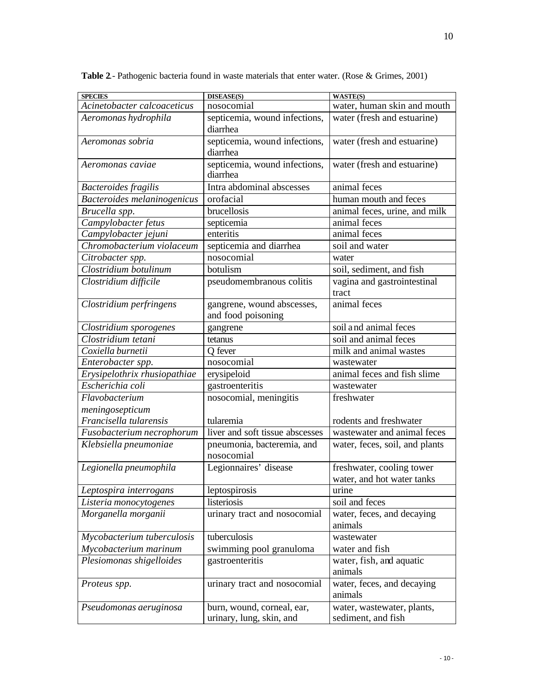| <b>SPECIES</b>                          | DISEASE(S)                                             | <b>WASTE(S)</b>                                         |
|-----------------------------------------|--------------------------------------------------------|---------------------------------------------------------|
| Acinetobacter calcoaceticus             | nosocomial                                             | water, human skin and mouth                             |
| Aeromonas hydrophila                    | septicemia, wound infections,<br>diarrhea              | water (fresh and estuarine)                             |
| Aeromonas sobria                        | septicemia, wound infections,<br>diarrhea              | water (fresh and estuarine)                             |
| Aeromonas caviae                        | septicemia, wound infections,<br>diarrhea              | water (fresh and estuarine)                             |
| Bacteroides fragilis                    | Intra abdominal abscesses                              | animal feces                                            |
| Bacteroides melaninogenicus             | orofacial                                              | human mouth and feces                                   |
| Brucella spp.                           | brucellosis                                            | animal feces, urine, and milk                           |
| Campylobacter fetus                     | septicemia                                             | animal feces                                            |
| Campylobacter jejuni                    | enteritis                                              | animal feces                                            |
| Chromobacterium violaceum               | septicemia and diarrhea                                | soil and water                                          |
| Citrobacter spp.                        | nosocomial                                             | water                                                   |
| Clostridium botulinum                   | botulism                                               | soil, sediment, and fish                                |
| Clostridium difficile                   | pseudomembranous colitis                               | vagina and gastrointestinal<br>tract                    |
| Clostridium perfringens                 | gangrene, wound abscesses,<br>and food poisoning       | animal feces                                            |
| Clostridium sporogenes                  | gangrene                                               | soil and animal feces                                   |
| Clostridium tetani                      | tetanus                                                | soil and animal feces                                   |
| Coxiella burnetii                       | Q fever                                                | milk and animal wastes                                  |
| Enterobacter spp.                       | nosocomial                                             | wastewater                                              |
| Erysipelothrix rhusiopathiae            | erysipeloid                                            | animal feces and fish slime                             |
| Escherichia coli                        | gastroenteritis                                        | wastewater                                              |
| Flavobacterium                          | nosocomial, meningitis                                 | freshwater                                              |
| meningosepticum                         |                                                        |                                                         |
| Francisella tularensis                  | tularemia                                              | rodents and freshwater                                  |
| $\overline{Fusobacterium\ necrophorum}$ | liver and soft tissue abscesses                        | wastewater and animal feces                             |
| Klebsiella pneumoniae                   | pneumonia, bacteremia, and<br>nosocomial               | water, feces, soil, and plants                          |
| Legionella pneumophila                  | Legionnaires' disease                                  | freshwater, cooling tower<br>water, and hot water tanks |
| Leptospira interrogans                  | leptospirosis                                          | urine                                                   |
| Listeria monocytogenes                  | listeriosis                                            | soil and feces                                          |
| Morganella morganii                     | urinary tract and nosocomial                           | water, feces, and decaying<br>animals                   |
| Mycobacterium tuberculosis              | tuberculosis                                           | wastewater                                              |
| Mycobacterium marinum                   | swimming pool granuloma                                | water and fish                                          |
| Plesiomonas shigelloides                | gastroenteritis                                        | water, fish, and aquatic<br>animals                     |
| Proteus spp.                            | urinary tract and nosocomial                           | water, feces, and decaying<br>animals                   |
| Pseudomonas aeruginosa                  | burn, wound, corneal, ear,<br>urinary, lung, skin, and | water, wastewater, plants,<br>sediment, and fish        |

**Table 2**.- Pathogenic bacteria found in waste materials that enter water. (Rose & Grimes, 2001)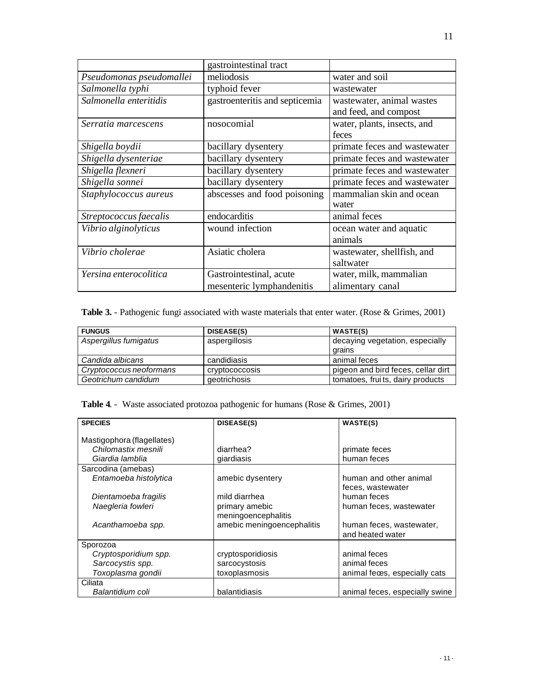|                          | gastrointestinal tract                               |                                                    |
|--------------------------|------------------------------------------------------|----------------------------------------------------|
| Pseudomonas pseudomallei | meliodosis                                           | water and soil                                     |
| Salmonella typhi         | typhoid fever                                        | wastewater                                         |
| Salmonella enteritidis   | gastroenteritis and septicemia                       | wastewater, animal wastes<br>and feed, and compost |
| Serratia marcescens      | nosocomial                                           | water, plants, insects, and<br>feces               |
| Shigella boydii          | bacillary dysentery                                  | primate feces and wastewater                       |
| Shigella dysenteriae     | bacillary dysentery                                  | primate feces and wastewater                       |
| Shigella flexneri        | bacillary dysentery                                  | primate feces and wastewater                       |
| Shigella sonnei          | bacillary dysentery                                  | primate feces and wastewater                       |
| Staphylococcus aureus    | abscesses and food poisoning                         | mammalian skin and ocean<br>water                  |
| Streptococcus faecalis   | endocarditis                                         | animal feces                                       |
| Vibrio alginolyticus     | wound infection                                      | ocean water and aquatic<br>animals                 |
| Vibrio cholerae          | Asiatic cholera                                      | wastewater, shellfish, and<br>saltwater            |
| Yersina enterocolitica   | Gastrointestinal, acute<br>mesenteric lymphandenitis | water, milk, mammalian<br>alimentary canal         |

**Table 3.** - Pathogenic fungi associated with waste materials that enter water. (Rose & Grimes, 2001)

| <b>FUNGUS</b>           | DISEASE(S)     | <b>WASTE(S)</b>                           |
|-------------------------|----------------|-------------------------------------------|
| Aspergillus fumigatus   | aspergillosis  | decaying vegetation, especially<br>grains |
| Candida albicans        | candidiasis    | animal feces                              |
| Cryptococcus neoformans | cryptococcosis | pigeon and bird feces, cellar dirt        |
| Geotrichum candidum     | geotrichosis   | tomatoes, fruits, dairy products          |

**Table 4**. - Waste associated protozoa pathogenic for humans (Rose & Grimes, 2001)

| <b>SPECIES</b>             | DISEASE(S)                 | <b>WASTE(S)</b>                |
|----------------------------|----------------------------|--------------------------------|
|                            |                            |                                |
| Mastigophora (flagellates) |                            |                                |
| Chilomastix mesnili        | diarrhea?                  | primate feces                  |
| Giardia lamblia            | giardiasis                 | human feces                    |
| Sarcodina (amebas)         |                            |                                |
| Entamoeba histolytica      | amebic dysentery           | human and other animal         |
|                            |                            | feces, wastewater              |
| Dientamoeba fragilis       | mild diarrhea              | human feces                    |
| Naegleria fowleri          | primary amebic             | human feces, wastewater        |
|                            | meningoencephalitis        |                                |
| Acanthamoeba spp.          | amebic meningoencephalitis | human feces, wastewater,       |
|                            |                            | and heated water               |
| Sporozoa                   |                            |                                |
| Cryptosporidium spp.       | cryptosporidiosis          | animal feces                   |
| Sarcocystis spp.           | sarcocystosis              | animal feces                   |
| Toxoplasma gondii          | toxoplasmosis              | animal feces, especially cats  |
| Ciliata                    |                            |                                |
| Balantidium coli           | balantidiasis              | animal feces, especially swine |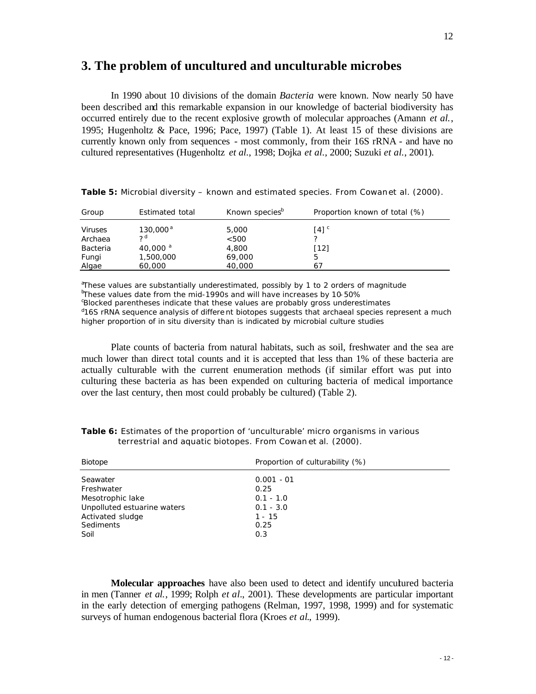## **3. The problem of uncultured and unculturable microbes**

In 1990 about 10 divisions of the domain *Bacteria* were known. Now nearly 50 have been described and this remarkable expansion in our knowledge of bacterial biodiversity has occurred entirely due to the recent explosive growth of molecular approaches (Amann *et al.*, 1995; Hugenholtz & Pace, 1996; Pace, 1997) (Table 1). At least 15 of these divisions are currently known only from sequences - most commonly, from their 16S rRNA - and have no cultured representatives (Hugenholtz *et al.*, 1998; Dojka *et al.*, 2000; Suzuki *et al.*, 2001).

| Group                     | Estimated total            | Known species <sup>b</sup> | Proportion known of total (%) |
|---------------------------|----------------------------|----------------------------|-------------------------------|
| <b>Viruses</b><br>Archaea | $130,000^{\text{a}}$<br>っd | 5,000<br>< 500             | $[4]$ <sup>c</sup>            |
| Bacteria                  | 40,000 $^{\circ}$          | 4,800                      | $[12]$                        |
| Fungi                     | 1,500,000                  | 69,000                     |                               |
| Algae                     | 60,000                     | 40,000                     | 67                            |

**Table 5:** Microbial diversity – known and estimated species. From Cowan *et al.* (2000).

<sup>a</sup>These values are substantially underestimated, possibly by 1 to 2 orders of magnitude bThese values date from the mid-1990s and will have increases by 10-50% cBlocked parentheses indicate that these values are probably gross underestimates

<sup>d</sup>16S rRNA sequence analysis of differe nt biotopes suggests that archaeal species represent a much higher proportion of in situ diversity than is indicated by microbial culture studies

Plate counts of bacteria from natural habitats, such as soil, freshwater and the sea are much lower than direct total counts and it is accepted that less than 1% of these bacteria are actually culturable with the current enumeration methods (if similar effort was put into culturing these bacteria as has been expended on culturing bacteria of medical importance over the last century, then most could probably be cultured) (Table 2).

| Biotope                     | Proportion of culturability (%) |  |
|-----------------------------|---------------------------------|--|
| Seawater                    | $0.001 - 01$                    |  |
| Freshwater                  | 0.25                            |  |
| Mesotrophic lake            | $0.1 - 1.0$                     |  |
| Unpolluted estuarine waters | $0.1 - 3.0$                     |  |
| Activated sludge            | $1 - 15$                        |  |
| Sediments                   | 0.25                            |  |
| Soil                        | 0.3                             |  |

**Table 6:** Estimates of the proportion of 'unculturable' micro organisms in various terrestrial and aquatic biotopes. From Cowan *et al.* (2000).

**Molecular approaches** have also been used to detect and identify uncultured bacteria in men (Tanner *et al.*, 1999; Rolph *et al.*, 2001). These developments are particular important in the early detection of emerging pathogens (Relman, 1997, 1998, 1999) and for systematic surveys of human endogenous bacterial flora (Kroes *et al.*, 1999).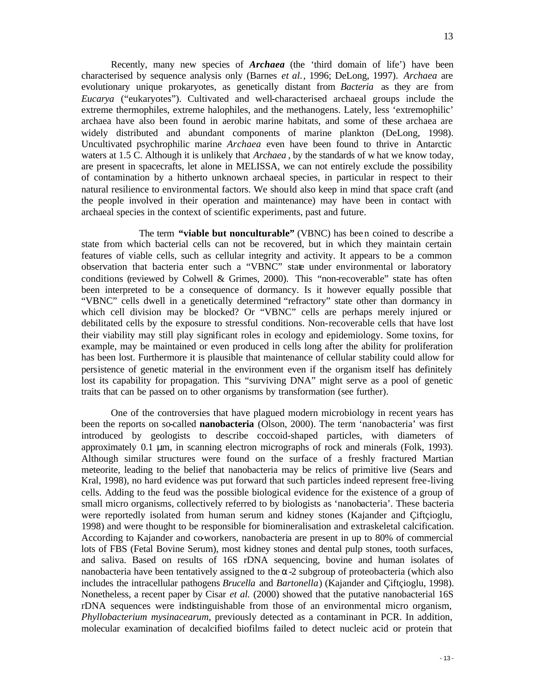Recently, many new species of *Archaea* (the 'third domain of life') have been characterised by sequence analysis only (Barnes *et al.*, 1996; DeLong, 1997). *Archaea* are evolutionary unique prokaryotes, as genetically distant from *Bacteria* as they are from *Eucarya* ("eukaryotes"). Cultivated and well-characterised archaeal groups include the extreme thermophiles, extreme halophiles, and the methanogens. Lately, less 'extremophilic' archaea have also been found in aerobic marine habitats, and some of these archaea are widely distributed and abundant components of marine plankton (DeLong, 1998). Uncultivated psychrophilic marine *Archaea* even have been found to thrive in Antarctic waters at 1.5 C. Although it is unlikely that *Archaea* , by the standards of w hat we know today, are present in spacecrafts, let alone in MELISSA, we can not entirely exclude the possibility of contamination by a hitherto unknown archaeal species, in particular in respect to their natural resilience to environmental factors. We should also keep in mind that space craft (and the people involved in their operation and maintenance) may have been in contact with archaeal species in the context of scientific experiments, past and future.

The term **"viable but nonculturable"** (VBNC) has been coined to describe a state from which bacterial cells can not be recovered, but in which they maintain certain features of viable cells, such as cellular integrity and activity. It appears to be a common observation that bacteria enter such a "VBNC" state under environmental or laboratory conditions (reviewed by Colwell & Grimes, 2000). This "non-recoverable" state has often been interpreted to be a consequence of dormancy. Is it however equally possible that "VBNC" cells dwell in a genetically determined "refractory" state other than dormancy in which cell division may be blocked? Or "VBNC" cells are perhaps merely injured or debilitated cells by the exposure to stressful conditions. Non-recoverable cells that have lost their viability may still play significant roles in ecology and epidemiology. Some toxins, for example, may be maintained or even produced in cells long after the ability for proliferation has been lost. Furthermore it is plausible that maintenance of cellular stability could allow for persistence of genetic material in the environment even if the organism itself has definitely lost its capability for propagation. This "surviving DNA" might serve as a pool of genetic traits that can be passed on to other organisms by transformation (see further).

One of the controversies that have plagued modern microbiology in recent years has been the reports on so-called **nanobacteria** (Olson, 2000). The term 'nanobacteria' was first introduced by geologists to describe coccoid-shaped particles, with diameters of approximately 0.1 μm, in scanning electron micrographs of rock and minerals (Folk, 1993). Although similar structures were found on the surface of a freshly fractured Martian meteorite, leading to the belief that nanobacteria may be relics of primitive live (Sears and Kral, 1998), no hard evidence was put forward that such particles indeed represent free-living cells. Adding to the feud was the possible biological evidence for the existence of a group of small micro organisms, collectively referred to by biologists as 'nanobacteria'. These bacteria were reportedly isolated from human serum and kidney stones (Kajander and Çiftçioglu, 1998) and were thought to be responsible for biomineralisation and extraskeletal calcification. According to Kajander and co-workers, nanobacteria are present in up to 80% of commercial lots of FBS (Fetal Bovine Serum), most kidney stones and dental pulp stones, tooth surfaces, and saliva. Based on results of 16S rDNA sequencing, bovine and human isolates of nanobacteria have been tentatively assigned to the  $\alpha$ -2 subgroup of proteobacteria (which also includes the intracellular pathogens *Brucella* and *Bartonella*) (Kajander and Çiftçioglu, 1998). Nonetheless, a recent paper by Cisar *et al.* (2000) showed that the putative nanobacterial 16S rDNA sequences were indistinguishable from those of an environmental micro organism, *Phyllobacterium mysinacearum*, previously detected as a contaminant in PCR. In addition, molecular examination of decalcified biofilms failed to detect nucleic acid or protein that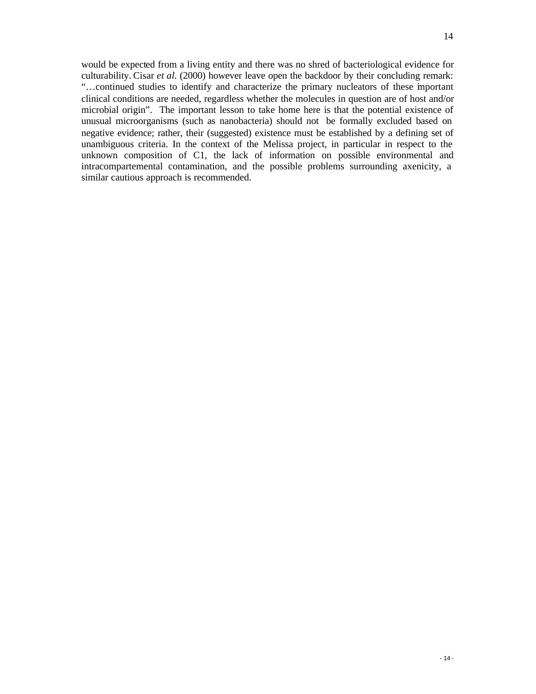would be expected from a living entity and there was no shred of bacteriological evidence for culturability. Cisar *et al.* (2000) however leave open the backdoor by their concluding remark: "…continued studies to identify and characterize the primary nucleators of these important clinical conditions are needed, regardless whether the molecules in question are of host and/or microbial origin". The important lesson to take home here is that the potential existence of unusual microorganisms (such as nanobacteria) should not be formally excluded based on negative evidence; rather, their (suggested) existence must be established by a defining set of unambiguous criteria. In the context of the Melissa project, in particular in respect to the unknown composition of C1, the lack of information on possible environmental and intracompartemental contamination, and the possible problems surrounding axenicity, a similar cautious approach is recommended.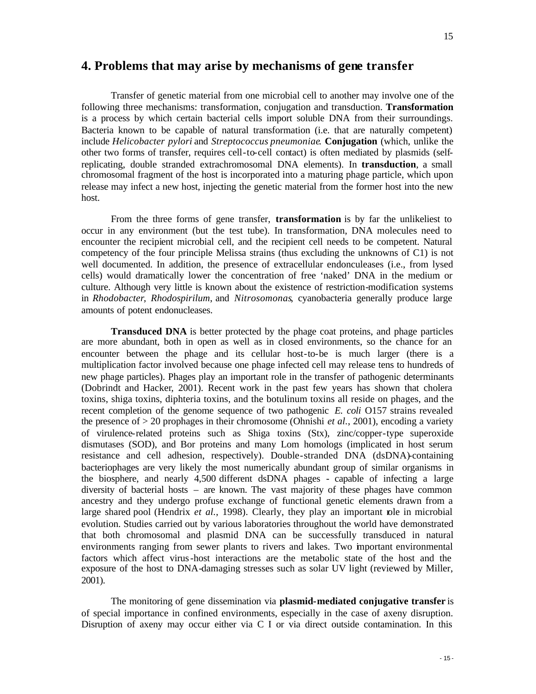## **4. Problems that may arise by mechanisms of gene transfer**

Transfer of genetic material from one microbial cell to another may involve one of the following three mechanisms: transformation, conjugation and transduction. **Transformation** is a process by which certain bacterial cells import soluble DNA from their surroundings. Bacteria known to be capable of natural transformation (i.e. that are naturally competent) include *Helicobacter pylori* and *Streptococcus pneumoniae*. **Conjugation** (which, unlike the other two forms of transfer, requires cell-to-cell contact) is often mediated by plasmids (selfreplicating, double stranded extrachromosomal DNA elements). In **transduction**, a small chromosomal fragment of the host is incorporated into a maturing phage particle, which upon release may infect a new host, injecting the genetic material from the former host into the new host.

From the three forms of gene transfer, **transformation** is by far the unlikeliest to occur in any environment (but the test tube). In transformation, DNA molecules need to encounter the recipient microbial cell, and the recipient cell needs to be competent. Natural competency of the four principle Melissa strains (thus excluding the unknowns of C1) is not well documented. In addition, the presence of extracellular endonculeases (i.e., from lysed cells) would dramatically lower the concentration of free 'naked' DNA in the medium or culture. Although very little is known about the existence of restriction-modification systems in *Rhodobacter*, *Rhodospirilum*, and *Nitrosomonas*, cyanobacteria generally produce large amounts of potent endonucleases.

**Transduced DNA** is better protected by the phage coat proteins, and phage particles are more abundant, both in open as well as in closed environments, so the chance for an encounter between the phage and its cellular host-to-be is much larger (there is a multiplication factor involved because one phage infected cell may release tens to hundreds of new phage particles). Phages play an important role in the transfer of pathogenic determinants (Dobrindt and Hacker, 2001). Recent work in the past few years has shown that cholera toxins, shiga toxins, diphteria toxins, and the botulinum toxins all reside on phages, and the recent completion of the genome sequence of two pathogenic *E. coli* O157 strains revealed the presence of > 20 prophages in their chromosome (Ohnishi *et al.*, 2001), encoding a variety of virulence-related proteins such as Shiga toxins (Stx), zinc/copper-type superoxide dismutases (SOD), and Bor proteins and many Lom homologs (implicated in host serum resistance and cell adhesion, respectively). Double-stranded DNA (dsDNA)-containing bacteriophages are very likely the most numerically abundant group of similar organisms in the biosphere, and nearly 4,500 different dsDNA phages - capable of infecting a large diversity of bacterial hosts – are known. The vast majority of these phages have common ancestry and they undergo profuse exchange of functional genetic elements drawn from a large shared pool (Hendrix *et al.*, 1998). Clearly, they play an important role in microbial evolution. Studies carried out by various laboratories throughout the world have demonstrated that both chromosomal and plasmid DNA can be successfully transduced in natural environments ranging from sewer plants to rivers and lakes. Two important environmental factors which affect virus-host interactions are the metabolic state of the host and the exposure of the host to DNA-damaging stresses such as solar UV light (reviewed by Miller, 2001).

The monitoring of gene dissemination via **plasmid-mediated conjugative transfer** is of special importance in confined environments, especially in the case of axeny disruption. Disruption of axeny may occur either via C I or via direct outside contamination. In this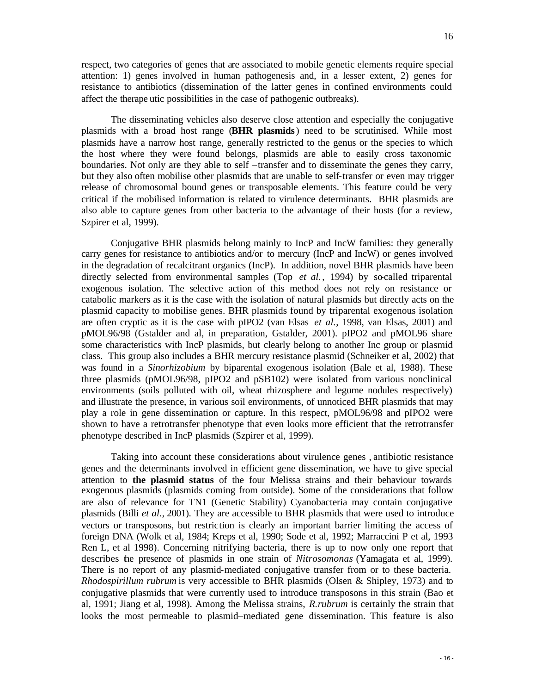respect, two categories of genes that are associated to mobile genetic elements require special attention: 1) genes involved in human pathogenesis and, in a lesser extent, 2) genes for resistance to antibiotics (dissemination of the latter genes in confined environments could affect the therape utic possibilities in the case of pathogenic outbreaks).

The disseminating vehicles also deserve close attention and especially the conjugative plasmids with a broad host range (**BHR plasmids**) need to be scrutinised. While most plasmids have a narrow host range, generally restricted to the genus or the species to which the host where they were found belongs, plasmids are able to easily cross taxonomic boundaries. Not only are they able to self –transfer and to disseminate the genes they carry, but they also often mobilise other plasmids that are unable to self-transfer or even may trigger release of chromosomal bound genes or transposable elements. This feature could be very critical if the mobilised information is related to virulence determinants. BHR plasmids are also able to capture genes from other bacteria to the advantage of their hosts (for a review, Szpirer et al, 1999).

Conjugative BHR plasmids belong mainly to IncP and IncW families: they generally carry genes for resistance to antibiotics and/or to mercury (IncP and IncW) or genes involved in the degradation of recalcitrant organics (IncP). In addition, novel BHR plasmids have been directly selected from environmental samples (Top *et al.*, 1994) by so-called triparental exogenous isolation. The selective action of this method does not rely on resistance or catabolic markers as it is the case with the isolation of natural plasmids but directly acts on the plasmid capacity to mobilise genes. BHR plasmids found by triparental exogenous isolation are often cryptic as it is the case with pIPO2 (van Elsas *et al.*, 1998, van Elsas, 2001) and pMOL96/98 (Gstalder and al, in preparation, Gstalder, 2001). pIPO2 and pMOL96 share some characteristics with IncP plasmids, but clearly belong to another Inc group or plasmid class. This group also includes a BHR mercury resistance plasmid (Schneiker et al, 2002) that was found in a *Sinorhizobium* by biparental exogenous isolation (Bale et al, 1988). These three plasmids (pMOL96/98, pIPO2 and pSB102) were isolated from various nonclinical environments (soils polluted with oil, wheat rhizosphere and legume nodules respectively) and illustrate the presence, in various soil environments, of unnoticed BHR plasmids that may play a role in gene dissemination or capture. In this respect, pMOL96/98 and pIPO2 were shown to have a retrotransfer phenotype that even looks more efficient that the retrotransfer phenotype described in IncP plasmids (Szpirer et al, 1999).

Taking into account these considerations about virulence genes , antibiotic resistance genes and the determinants involved in efficient gene dissemination, we have to give special attention to **the plasmid status** of the four Melissa strains and their behaviour towards exogenous plasmids (plasmids coming from outside). Some of the considerations that follow are also of relevance for TN1 (Genetic Stability) Cyanobacteria may contain conjugative plasmids (Billi *et al.*, 2001). They are accessible to BHR plasmids that were used to introduce vectors or transposons, but restriction is clearly an important barrier limiting the access of foreign DNA (Wolk et al, 1984; Kreps et al, 1990; Sode et al, 1992; Marraccini P et al, 1993 Ren L, et al 1998). Concerning nitrifying bacteria, there is up to now only one report that describes the presence of plasmids in one strain of *Nitrosomonas* (Yamagata et al, 1999). There is no report of any plasmid-mediated conjugative transfer from or to these bacteria. *Rhodospirillum rubrum* is very accessible to BHR plasmids (Olsen & Shipley, 1973) and to conjugative plasmids that were currently used to introduce transposons in this strain (Bao et al, 1991; Jiang et al, 1998). Among the Melissa strains, *R.rubrum* is certainly the strain that looks the most permeable to plasmid–mediated gene dissemination. This feature is also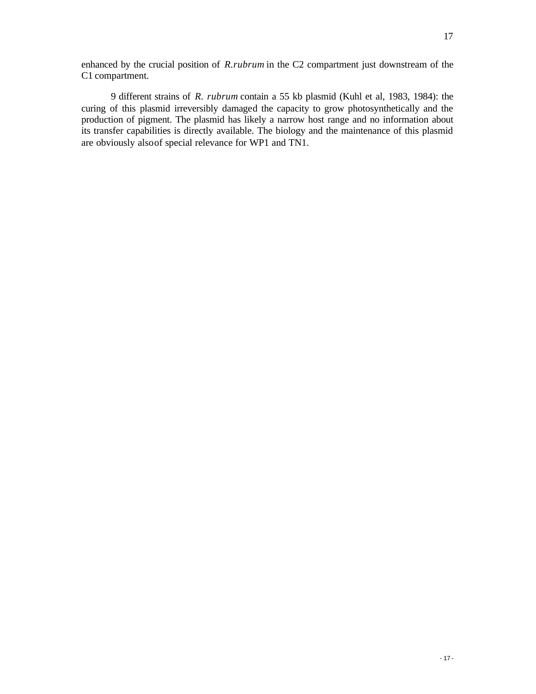enhanced by the crucial position of *R.rubrum* in the C2 compartment just downstream of the C1 compartment.

9 different strains of *R. rubrum* contain a 55 kb plasmid (Kuhl et al, 1983, 1984): the curing of this plasmid irreversibly damaged the capacity to grow photosynthetically and the production of pigment. The plasmid has likely a narrow host range and no information about its transfer capabilities is directly available. The biology and the maintenance of this plasmid are obviously also of special relevance for WP1 and TN1.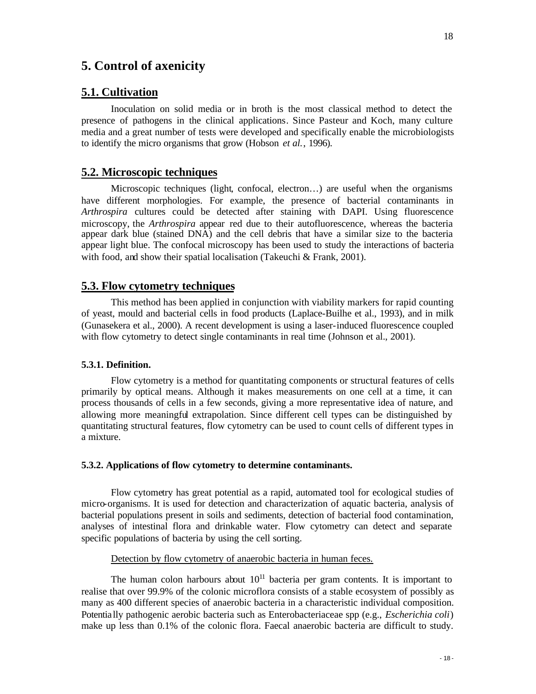## **5. Control of axenicity**

#### **5.1. Cultivation**

Inoculation on solid media or in broth is the most classical method to detect the presence of pathogens in the clinical applications. Since Pasteur and Koch, many culture media and a great number of tests were developed and specifically enable the microbiologists to identify the micro organisms that grow (Hobson *et al.*, 1996).

### **5.2. Microscopic techniques**

Microscopic techniques (light, confocal, electron…) are useful when the organisms have different morphologies. For example, the presence of bacterial contaminants in *Arthrospira* cultures could be detected after staining with DAPI. Using fluorescence microscopy, the *Arthrospira* appear red due to their autofluorescence, whereas the bacteria appear dark blue (stained DNA) and the cell debris that have a similar size to the bacteria appear light blue. The confocal microscopy has been used to study the interactions of bacteria with food, and show their spatial localisation (Takeuchi & Frank, 2001).

## **5.3. Flow cytometry techniques**

This method has been applied in conjunction with viability markers for rapid counting of yeast, mould and bacterial cells in food products (Laplace-Builhe et al., 1993), and in milk (Gunasekera et al., 2000). A recent development is using a laser-induced fluorescence coupled with flow cytometry to detect single contaminants in real time (Johnson et al., 2001).

#### **5.3.1. Definition.**

Flow cytometry is a method for quantitating components or structural features of cells primarily by optical means. Although it makes measurements on one cell at a time, it can process thousands of cells in a few seconds, giving a more representative idea of nature, and allowing more meaningful extrapolation. Since different cell types can be distinguished by quantitating structural features, flow cytometry can be used to count cells of different types in a mixture.

#### **5.3.2. Applications of flow cytometry to determine contaminants.**

Flow cytometry has great potential as a rapid, automated tool for ecological studies of micro-organisms. It is used for detection and characterization of aquatic bacteria, analysis of bacterial populations present in soils and sediments, detection of bacterial food contamination, analyses of intestinal flora and drinkable water. Flow cytometry can detect and separate specific populations of bacteria by using the cell sorting.

#### Detection by flow cytometry of anaerobic bacteria in human feces.

The human colon harbours about  $10^{11}$  bacteria per gram contents. It is important to realise that over 99.9% of the colonic microflora consists of a stable ecosystem of possibly as many as 400 different species of anaerobic bacteria in a characteristic individual composition. Potentially pathogenic aerobic bacteria such as Enterobacteriaceae spp (e.g., *Escherichia coli*) make up less than 0.1% of the colonic flora. Faecal anaerobic bacteria are difficult to study.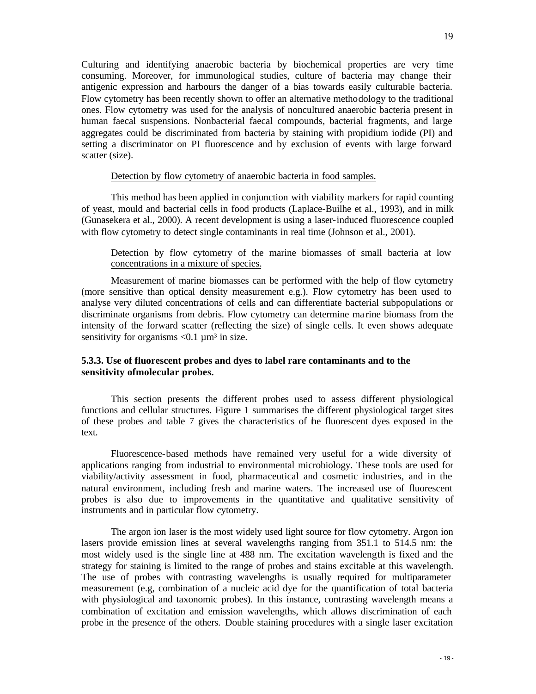Culturing and identifying anaerobic bacteria by biochemical properties are very time consuming. Moreover, for immunological studies, culture of bacteria may change their antigenic expression and harbours the danger of a bias towards easily culturable bacteria. Flow cytometry has been recently shown to offer an alternative methodology to the traditional ones. Flow cytometry was used for the analysis of noncultured anaerobic bacteria present in human faecal suspensions. Nonbacterial faecal compounds, bacterial fragments, and large aggregates could be discriminated from bacteria by staining with propidium iodide (PI) and setting a discriminator on PI fluorescence and by exclusion of events with large forward scatter (size).

#### Detection by flow cytometry of anaerobic bacteria in food samples.

This method has been applied in conjunction with viability markers for rapid counting of yeast, mould and bacterial cells in food products (Laplace-Builhe et al., 1993), and in milk (Gunasekera et al., 2000). A recent development is using a laser-induced fluorescence coupled with flow cytometry to detect single contaminants in real time (Johnson et al., 2001).

Detection by flow cytometry of the marine biomasses of small bacteria at low concentrations in a mixture of species.

Measurement of marine biomasses can be performed with the help of flow cytometry (more sensitive than optical density measurement e.g.). Flow cytometry has been used to analyse very diluted concentrations of cells and can differentiate bacterial subpopulations or discriminate organisms from debris. Flow cytometry can determine ma rine biomass from the intensity of the forward scatter (reflecting the size) of single cells. It even shows adequate sensitivity for organisms  $< 0.1 \mu m^3$  in size.

### **5.3.3. Use of fluorescent probes and dyes to label rare contaminants and to the sensitivity of molecular probes.**

This section presents the different probes used to assess different physiological functions and cellular structures. Figure 1 summarises the different physiological target sites of these probes and table 7 gives the characteristics of the fluorescent dyes exposed in the text.

Fluorescence-based methods have remained very useful for a wide diversity of applications ranging from industrial to environmental microbiology. These tools are used for viability/activity assessment in food, pharmaceutical and cosmetic industries, and in the natural environment, including fresh and marine waters. The increased use of fluorescent probes is also due to improvements in the quantitative and qualitative sensitivity of instruments and in particular flow cytometry.

The argon ion laser is the most widely used light source for flow cytometry. Argon ion lasers provide emission lines at several wavelengths ranging from 351.1 to 514.5 nm: the most widely used is the single line at 488 nm. The excitation wavelength is fixed and the strategy for staining is limited to the range of probes and stains excitable at this wavelength. The use of probes with contrasting wavelengths is usually required for multiparameter measurement (e.g, combination of a nucleic acid dye for the quantification of total bacteria with physiological and taxonomic probes). In this instance, contrasting wavelength means a combination of excitation and emission wavelengths, which allows discrimination of each probe in the presence of the others. Double staining procedures with a single laser excitation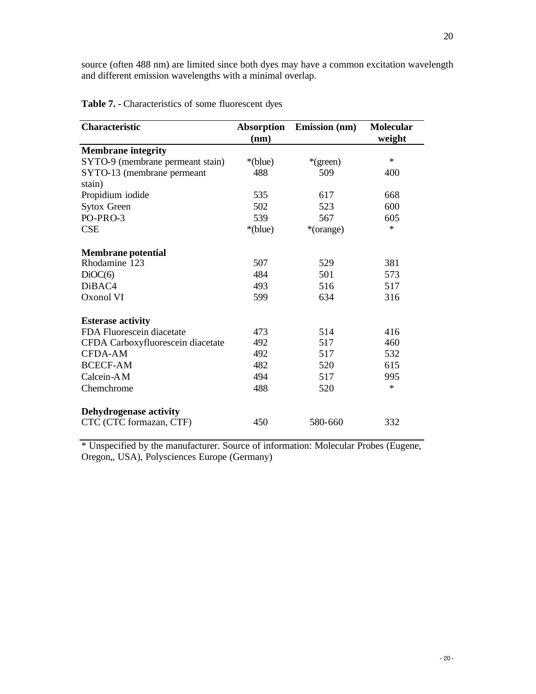source (often 488 nm) are limited since both dyes may have a common excitation wavelength and different emission wavelengths with a minimal overlap.

| <b>Characteristic</b>             | Absorption<br>(nm) | <b>Emission</b> (nm) | <b>Molecular</b><br>weight |
|-----------------------------------|--------------------|----------------------|----------------------------|
| <b>Membrane integrity</b>         |                    |                      |                            |
| SYTO-9 (membrane permeant stain)  | *(blue)            | *(green)             | $\ast$                     |
| SYTO-13 (membrane permeant        | 488                | 509                  | 400                        |
| stain)                            |                    |                      |                            |
| Propidium iodide                  | 535                | 617                  | 668                        |
| <b>Sytox Green</b>                | 502                | 523                  | 600                        |
| PO-PRO-3                          | 539                | 567                  | 605                        |
| <b>CSE</b>                        | *(blue)            | *(orange)            | $\ast$                     |
| <b>Membrane</b> potential         |                    |                      |                            |
| Rhodamine 123                     | 507                | 529                  | 381                        |
| DiOC(6)                           | 484                | 501                  | 573                        |
| DiBAC4                            | 493                | 516                  | 517                        |
| Oxonol VI                         | 599                | 634                  | 316                        |
| <b>Esterase activity</b>          |                    |                      |                            |
| FDA Fluorescein diacetate         | 473                | 514                  | 416                        |
| CFDA Carboxyfluorescein diacetate | 492                | 517                  | 460                        |
| CFDA-AM                           | 492                | 517                  | 532                        |
| <b>BCECF-AM</b>                   | 482                | 520                  | 615                        |
| Calcein-AM                        | 494                | 517                  | 995                        |
| Chemchrome                        | 488                | 520                  | $\ast$                     |
| <b>Dehydrogenase activity</b>     |                    |                      |                            |
| CTC (CTC formazan, CTF)           | 450                | 580-660              | 332                        |

**Table 7. -** Characteristics of some fluorescent dyes

\* Unspecified by the manufacturer. Source of information: Molecular Probes (Eugene, Oregon,, USA), Polysciences Europe (Germany)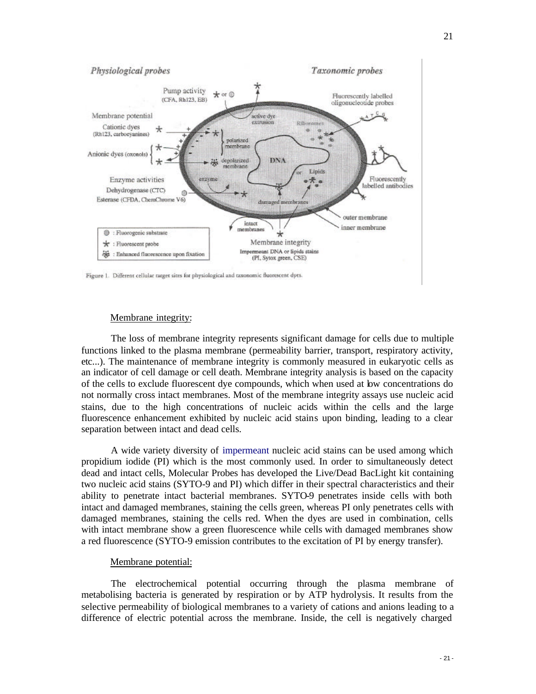

#### Membrane integrity:

The loss of membrane integrity represents significant damage for cells due to multiple functions linked to the plasma membrane (permeability barrier, transport, respiratory activity, etc...). The maintenance of membrane integrity is commonly measured in eukaryotic cells as an indicator of cell damage or cell death. Membrane integrity analysis is based on the capacity of the cells to exclude fluorescent dye compounds, which when used at low concentrations do not normally cross intact membranes. Most of the membrane integrity assays use nucleic acid stains, due to the high concentrations of nucleic acids within the cells and the large fluorescence enhancement exhibited by nucleic acid stains upon binding, leading to a clear separation between intact and dead cells.

A wide variety diversity of impermeant nucleic acid stains can be used among which propidium iodide (PI) which is the most commonly used. In order to simultaneously detect dead and intact cells, Molecular Probes has developed the Live/Dead BacLight kit containing two nucleic acid stains (SYTO-9 and PI) which differ in their spectral characteristics and their ability to penetrate intact bacterial membranes. SYTO-9 penetrates inside cells with both intact and damaged membranes, staining the cells green, whereas PI only penetrates cells with damaged membranes, staining the cells red. When the dyes are used in combination, cells with intact membrane show a green fluorescence while cells with damaged membranes show a red fluorescence (SYTO-9 emission contributes to the excitation of PI by energy transfer).

#### Membrane potential:

The electrochemical potential occurring through the plasma membrane of metabolising bacteria is generated by respiration or by ATP hydrolysis. It results from the selective permeability of biological membranes to a variety of cations and anions leading to a difference of electric potential across the membrane. Inside, the cell is negatively charged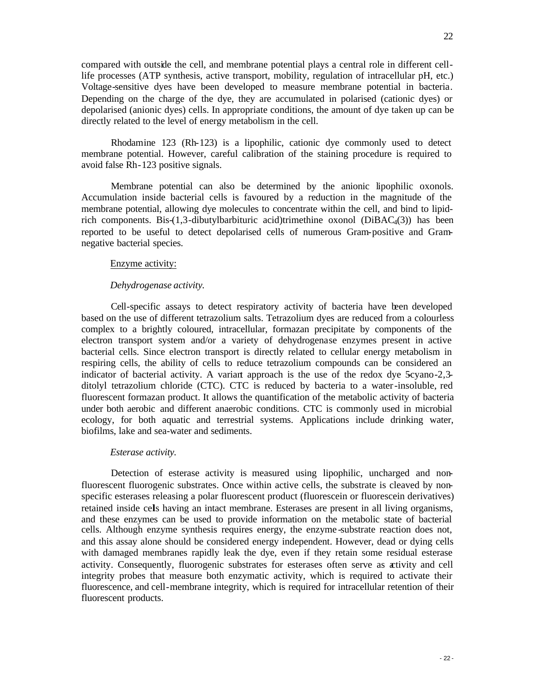compared with outside the cell, and membrane potential plays a central role in different celllife processes (ATP synthesis, active transport, mobility, regulation of intracellular pH, etc.) Voltage-sensitive dyes have been developed to measure membrane potential in bacteria. Depending on the charge of the dye, they are accumulated in polarised (cationic dyes) or depolarised (anionic dyes) cells. In appropriate conditions, the amount of dye taken up can be directly related to the level of energy metabolism in the cell.

Rhodamine 123 (Rh-123) is a lipophilic, cationic dye commonly used to detect membrane potential. However, careful calibration of the staining procedure is required to avoid false Rh-123 positive signals.

Membrane potential can also be determined by the anionic lipophilic oxonols. Accumulation inside bacterial cells is favoured by a reduction in the magnitude of the membrane potential, allowing dye molecules to concentrate within the cell, and bind to lipidrich components. Bis- $(1,3$ -dibutylbarbituric acid)trimethine oxonol (DiBAC<sub>4</sub>(3)) has been reported to be useful to detect depolarised cells of numerous Gram-positive and Gramnegative bacterial species.

#### Enzyme activity:

#### *Dehydrogenase activity.*

Cell-specific assays to detect respiratory activity of bacteria have been developed based on the use of different tetrazolium salts. Tetrazolium dyes are reduced from a colourless complex to a brightly coloured, intracellular, formazan precipitate by components of the electron transport system and/or a variety of dehydrogenase enzymes present in active bacterial cells. Since electron transport is directly related to cellular energy metabolism in respiring cells, the ability of cells to reduce tetrazolium compounds can be considered an indicator of bacterial activity. A variant approach is the use of the redox dye  $5$ cyano-2,3ditolyl tetrazolium chloride (CTC). CTC is reduced by bacteria to a water-insoluble, red fluorescent formazan product. It allows the quantification of the metabolic activity of bacteria under both aerobic and different anaerobic conditions. CTC is commonly used in microbial ecology, for both aquatic and terrestrial systems. Applications include drinking water, biofilms, lake and sea-water and sediments.

#### *Esterase activity.*

Detection of esterase activity is measured using lipophilic, uncharged and nonfluorescent fluorogenic substrates. Once within active cells, the substrate is cleaved by nonspecific esterases releasing a polar fluorescent product (fluorescein or fluorescein derivatives) retained inside cells having an intact membrane. Esterases are present in all living organisms, and these enzymes can be used to provide information on the metabolic state of bacterial cells. Although enzyme synthesis requires energy, the enzyme -substrate reaction does not, and this assay alone should be considered energy independent. However, dead or dying cells with damaged membranes rapidly leak the dye, even if they retain some residual esterase activity. Consequently, fluorogenic substrates for esterases often serve as activity and cell integrity probes that measure both enzymatic activity, which is required to activate their fluorescence, and cell-membrane integrity, which is required for intracellular retention of their fluorescent products.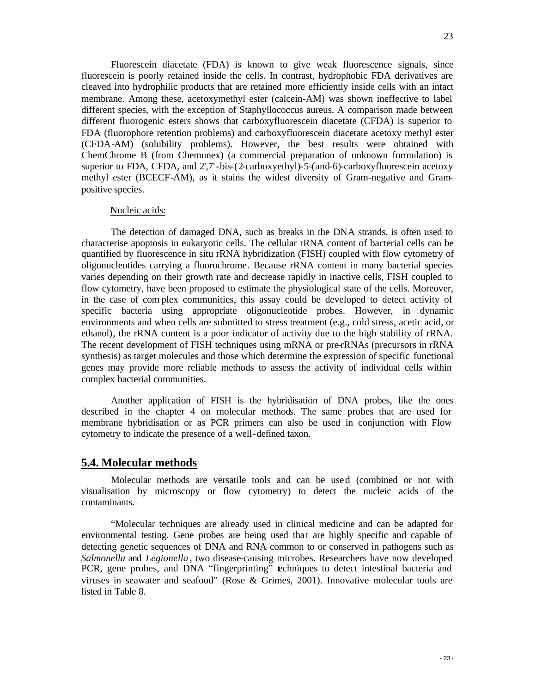Fluorescein diacetate (FDA) is known to give weak fluorescence signals, since fluorescein is poorly retained inside the cells. In contrast, hydrophobic FDA derivatives are cleaved into hydrophilic products that are retained more efficiently inside cells with an intact membrane. Among these, acetoxymethyl ester (calcein-AM) was shown ineffective to label different species, with the exception of Staphyllococcus aureus. A comparison made between different fluorogenic esters shows that carboxyfluorescein diacetate (CFDA) is superior to FDA (fluorophore retention problems) and carboxyfluorescein diacetate acetoxy methyl ester (CFDA-AM) (solubility problems). However, the best results were obtained with ChemChrome B (from Chemunex) (a commercial preparation of unknown formulation) is superior to FDA, CFDA, and 2',7'-bis-(2-carboxyethyl)-5-(and-6)-carboxyfluorescein acetoxy methyl ester (BCECF-AM), as it stains the widest diversity of Gram-negative and Grampositive species.

#### Nucleic acids:

The detection of damaged DNA, such as breaks in the DNA strands, is often used to characterise apoptosis in eukaryotic cells. The cellular rRNA content of bacterial cells can be quantified by fluorescence in situ rRNA hybridization (FISH) coupled with flow cytometry of oligonucleotides carrying a fluorochrome. Because rRNA content in many bacterial species varies depending on their growth rate and decrease rapidly in inactive cells, FISH coupled to flow cytometry, have been proposed to estimate the physiological state of the cells. Moreover, in the case of com plex communities, this assay could be developed to detect activity of specific bacteria using appropriate oligonucleotide probes. However, in dynamic environments and when cells are submitted to stress treatment (e.g., cold stress, acetic acid, or ethanol), the rRNA content is a poor indicator of activity due to the high stability of rRNA. The recent development of FISH techniques using mRNA or pre-rRNAs (precursors in rRNA synthesis) as target molecules and those which determine the expression of specific functional genes may provide more reliable methods to assess the activity of individual cells within complex bacterial communities.

Another application of FISH is the hybridisation of DNA probes, like the ones described in the chapter 4 on molecular methods. The same probes that are used for membrane hybridisation or as PCR primers can also be used in conjunction with Flow cytometry to indicate the presence of a well-defined taxon.

#### **5.4. Molecular methods**

Molecular methods are versatile tools and can be used (combined or not with visualisation by microscopy or flow cytometry) to detect the nucleic acids of the contaminants.

"Molecular techniques are already used in clinical medicine and can be adapted for environmental testing. Gene probes are being used that are highly specific and capable of detecting genetic sequences of DNA and RNA common to or conserved in pathogens such as *Salmonella* and *Legionella* , two disease-causing microbes. Researchers have now developed PCR, gene probes, and DNA "fingerprinting" techniques to detect intestinal bacteria and viruses in seawater and seafood" (Rose & Grimes, 2001). Innovative molecular tools are listed in Table 8.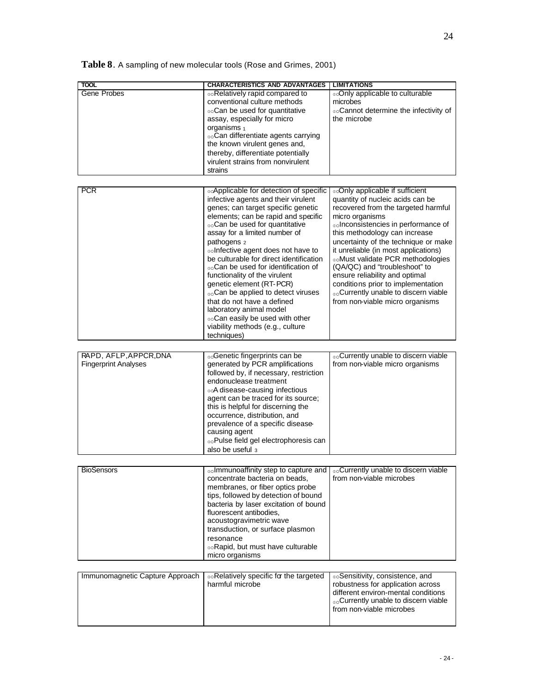**Table 8**. A sampling of new molecular tools (Rose and Grimes, 2001)

| <b>TOOL</b>                     | <b>CHARACTERISTICS AND ADVANTAGES</b>                                                               | <b>LIMITATIONS</b>                               |  |
|---------------------------------|-----------------------------------------------------------------------------------------------------|--------------------------------------------------|--|
| Gene Probes                     | ®®Relatively rapid compared to                                                                      | ooOnly applicable to culturable                  |  |
|                                 | conventional culture methods                                                                        | microbes                                         |  |
|                                 | Can be used for quantitative                                                                        | ooCannot determine the infectivity of            |  |
|                                 | assay, especially for micro                                                                         | the microbe                                      |  |
|                                 | organisms 1                                                                                         |                                                  |  |
|                                 | <sub>oo</sub> Can differentiate agents carrying                                                     |                                                  |  |
|                                 | the known virulent genes and,                                                                       |                                                  |  |
|                                 | thereby, differentiate potentially                                                                  |                                                  |  |
|                                 | virulent strains from nonvirulent                                                                   |                                                  |  |
|                                 | strains                                                                                             |                                                  |  |
|                                 |                                                                                                     |                                                  |  |
| <b>PCR</b>                      | ⊚△Applicable for detection of specific                                                              | ⊚oOnly applicable if sufficient                  |  |
|                                 | infective agents and their virulent                                                                 | quantity of nucleic acids can be                 |  |
|                                 | genes; can target specific genetic                                                                  | recovered from the targeted harmful              |  |
|                                 | elements; can be rapid and specific                                                                 | micro organisms                                  |  |
|                                 | <sub>00</sub> Can be used for quantitative                                                          | ooInconsistencies in performance of              |  |
|                                 | assay for a limited number of                                                                       | this methodology can increase                    |  |
|                                 | pathogens 2                                                                                         | uncertainty of the technique or make             |  |
|                                 | ooInfective agent does not have to                                                                  | it unreliable (in most applications)             |  |
|                                 | be culturable for direct identification                                                             | ooMust validate PCR methodologies                |  |
|                                 | <sub>no</sub> Can be used for identification of                                                     | (QA/QC) and "troubleshoot" to                    |  |
|                                 | functionality of the virulent                                                                       | ensure reliability and optimal                   |  |
|                                 | genetic element (RT-PCR)                                                                            | conditions prior to implementation               |  |
|                                 | <sub>oo</sub> Can be applied to detect viruses                                                      | ®©Currently unable to discern viable             |  |
|                                 | that do not have a defined                                                                          | from non-viable micro organisms                  |  |
|                                 | laboratory animal model                                                                             |                                                  |  |
|                                 | ooCan easily be used with other                                                                     |                                                  |  |
|                                 | viability methods (e.g., culture<br>techniques)                                                     |                                                  |  |
|                                 |                                                                                                     |                                                  |  |
|                                 |                                                                                                     |                                                  |  |
| RAPD, AFLP, APPCR, DNA          | <sub>oo</sub> Genetic fingerprints can be                                                           | <sub>oo</sub> Currently unable to discern viable |  |
| <b>Fingerprint Analyses</b>     | generated by PCR amplifications                                                                     | from non-viable micro organisms                  |  |
|                                 | followed by, if necessary, restriction<br>endonuclease treatment                                    |                                                  |  |
|                                 | ⊕∞A disease-causing infectious                                                                      |                                                  |  |
|                                 | agent can be traced for its source;                                                                 |                                                  |  |
|                                 | this is helpful for discerning the                                                                  |                                                  |  |
|                                 | occurrence, distribution, and                                                                       |                                                  |  |
|                                 | prevalence of a specific disease-                                                                   |                                                  |  |
|                                 | causing agent                                                                                       |                                                  |  |
|                                 | <sub>00</sub> Pulse field gel electrophoresis can                                                   |                                                  |  |
|                                 | also be useful 3                                                                                    |                                                  |  |
|                                 |                                                                                                     |                                                  |  |
| <b>BioSensors</b>               | <sub>oo</sub> Immunoaffinity step to capture and $\int_{\infty}$ Currently unable to discern viable |                                                  |  |
|                                 | concentrate bacteria on beads,                                                                      | from non-viable microbes                         |  |
|                                 | membranes, or fiber optics probe                                                                    |                                                  |  |
|                                 | tips, followed by detection of bound                                                                |                                                  |  |
|                                 | bacteria by laser excitation of bound                                                               |                                                  |  |
|                                 | fluorescent antibodies,                                                                             |                                                  |  |
|                                 | acoustogravimetric wave                                                                             |                                                  |  |
|                                 | transduction, or surface plasmon                                                                    |                                                  |  |
|                                 | resonance                                                                                           |                                                  |  |
|                                 | ®oRapid, but must have culturable                                                                   |                                                  |  |
|                                 | micro organisms                                                                                     |                                                  |  |
|                                 |                                                                                                     |                                                  |  |
| Immunomagnetic Capture Approach | Relatively specific for the targeted                                                                | ® Sensitivity, consistence, and                  |  |
|                                 | harmful microbe                                                                                     | robustness for application across                |  |
|                                 |                                                                                                     | different environ-mental conditions              |  |
|                                 |                                                                                                     | ®©Currently unable to discern viable             |  |
|                                 |                                                                                                     | from non-viable microbes                         |  |
|                                 |                                                                                                     |                                                  |  |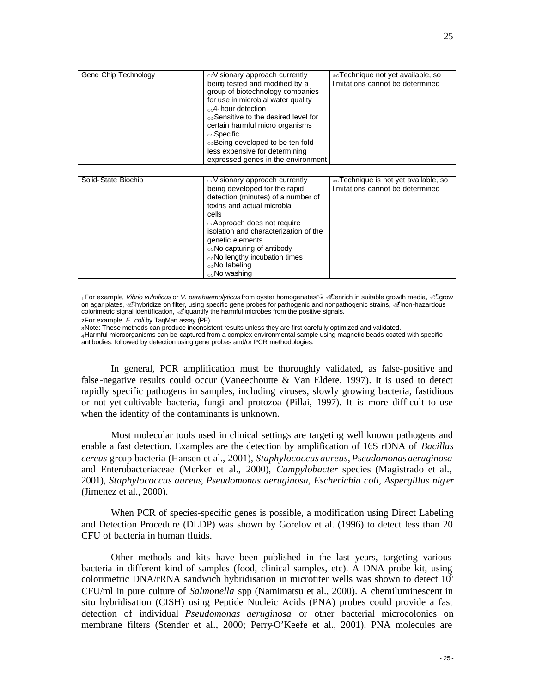| Gene Chip Technology | Visionary approach currently<br>being tested and modified by a<br>group of biotechnology companies<br>for use in microbial water quality<br><sub>no</sub> -4-hour detection<br>noSensitive to the desired level for<br>certain harmful micro organisms<br>⊕∘Specific<br>⊚⊳Being developed to be ten-fold<br>less expensive for determining<br>expressed genes in the environment | ®oTechnique not yet available, so<br>limitations cannot be determined    |
|----------------------|----------------------------------------------------------------------------------------------------------------------------------------------------------------------------------------------------------------------------------------------------------------------------------------------------------------------------------------------------------------------------------|--------------------------------------------------------------------------|
|                      |                                                                                                                                                                                                                                                                                                                                                                                  |                                                                          |
| Solid-State Biochip  | Visionary approach currently<br>being developed for the rapid<br>detection (minutes) of a number of<br>toxins and actual microbial<br>cells<br>⊚∆Approach does not require<br>isolation and characterization of the<br>genetic elements<br>⊚∘No capturing of antibody                                                                                                            | ®oTechnique is not yet available, so<br>limitations cannot be determined |

1For example, Vibrio vulnificus or V. parahaemolyticus from oyster homogenates a cenrich in suitable growth media, Cgrow on agar plates, @hybridize on filter, using specific gene probes for pathogenic and nonpathogenic strains, @non-hazardous colorimetric signal identification, @quantify the harmful microbes from the positive signals.

**OONO** lengthy incubation times

2 For example, *E. coli* by TaqMan assay (PE).

<sup>3</sup>Note: These methods can produce inconsistent results unless they are first carefully optimized and validated.

**vo No labeling** <sub>no</sub>No washing

<sup>4</sup>Harmful microorganisms can be captured from a complex environmental sample using magnetic beads coated with specific antibodies, followed by detection using gene probes and/or PCR methodologies.

In general, PCR amplification must be thoroughly validated, as false-positive and false-negative results could occur (Vaneechoutte & Van Eldere, 1997). It is used to detect rapidly specific pathogens in samples, including viruses, slowly growing bacteria, fastidious or not-yet-cultivable bacteria, fungi and protozoa (Pillai, 1997). It is more difficult to use when the identity of the contaminants is unknown.

Most molecular tools used in clinical settings are targeting well known pathogens and enable a fast detection. Examples are the detection by amplification of 16S rDNA of *Bacillus cereus* group bacteria (Hansen et al., 2001), *Staphylococcus aureus*, *Pseudomonas aeruginosa* and Enterobacteriaceae (Merker et al., 2000), *Campylobacter* species (Magistrado et al., 2001), *Staphylococcus aureus*, *Pseudomonas aeruginosa, Escherichia coli, Aspergillus nig er*  (Jimenez et al., 2000).

When PCR of species-specific genes is possible, a modification using Direct Labeling and Detection Procedure (DLDP) was shown by Gorelov et al. (1996) to detect less than 20 CFU of bacteria in human fluids.

Other methods and kits have been published in the last years, targeting various bacteria in different kind of samples (food, clinical samples, etc). A DNA probe kit, using colorimetric DNA/rRNA sandwich hybridisation in microtiter wells was shown to detect  $10^{\circ}$ CFU/ml in pure culture of *Salmonella* spp (Namimatsu et al., 2000). A chemiluminescent in situ hybridisation (CISH) using Peptide Nucleic Acids (PNA) probes could provide a fast detection of individual *Pseudomonas aeruginosa* or other bacterial microcolonies on membrane filters (Stender et al., 2000; Perry-O'Keefe et al., 2001). PNA molecules are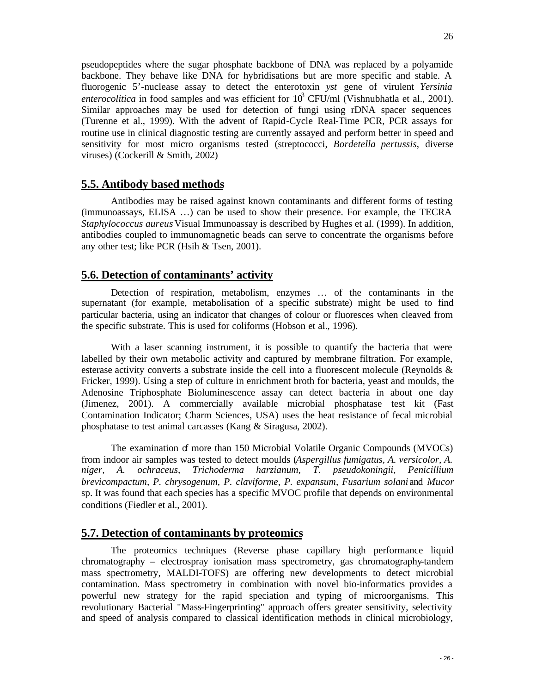pseudopeptides where the sugar phosphate backbone of DNA was replaced by a polyamide backbone. They behave like DNA for hybridisations but are more specific and stable. A fluorogenic 5'-nuclease assay to detect the enterotoxin *yst* gene of virulent *Yersinia enterocolitica* in food samples and was efficient for  $10^3$  CFU/ml (Vishnubhatla et al., 2001). Similar approaches may be used for detection of fungi using rDNA spacer sequences (Turenne et al., 1999). With the advent of Rapid-Cycle Real-Time PCR, PCR assays for routine use in clinical diagnostic testing are currently assayed and perform better in speed and sensitivity for most micro organisms tested (streptococci, *Bordetella pertussis*, diverse viruses) (Cockerill & Smith, 2002)

## **5.5. Antibody based methods**

Antibodies may be raised against known contaminants and different forms of testing (immunoassays, ELISA …) can be used to show their presence. For example, the TECRA *Staphylococcus aureus* Visual Immunoassay is described by Hughes et al. (1999). In addition, antibodies coupled to immunomagnetic beads can serve to concentrate the organisms before any other test; like PCR (Hsih & Tsen, 2001).

## **5.6. Detection of contaminants' activity**

Detection of respiration, metabolism, enzymes … of the contaminants in the supernatant (for example, metabolisation of a specific substrate) might be used to find particular bacteria, using an indicator that changes of colour or fluoresces when cleaved from the specific substrate. This is used for coliforms (Hobson et al., 1996).

With a laser scanning instrument, it is possible to quantify the bacteria that were labelled by their own metabolic activity and captured by membrane filtration. For example, esterase activity converts a substrate inside the cell into a fluorescent molecule (Reynolds & Fricker, 1999). Using a step of culture in enrichment broth for bacteria, yeast and moulds, the Adenosine Triphosphate Bioluminescence assay can detect bacteria in about one day (Jimenez, 2001). A commercially available microbial phosphatase test kit (Fast Contamination Indicator; Charm Sciences, USA) uses the heat resistance of fecal microbial phosphatase to test animal carcasses (Kang & Siragusa, 2002).

The examination of more than 150 Microbial Volatile Organic Compounds (MVOCs) from indoor air samples was tested to detect moulds (*Aspergillus fumigatus, A. versicolor, A. niger, A. ochraceus, Trichoderma harzianum, T. pseudokoningii, Penicillium brevicompactum, P. chrysogenum, P. claviforme, P. expansum, Fusarium solani* and *Mucor* sp. It was found that each species has a specific MVOC profile that depends on environmental conditions (Fiedler et al., 2001).

### **5.7. Detection of contaminants by proteomics**

The proteomics techniques (Reverse phase capillary high performance liquid chromatography – electrospray ionisation mass spectrometry, gas chromatography-tandem mass spectrometry, MALDI-TOFS) are offering new developments to detect microbial contamination. Mass spectrometry in combination with novel bio-informatics provides a powerful new strategy for the rapid speciation and typing of microorganisms. This revolutionary Bacterial "Mass-Fingerprinting" approach offers greater sensitivity, selectivity and speed of analysis compared to classical identification methods in clinical microbiology,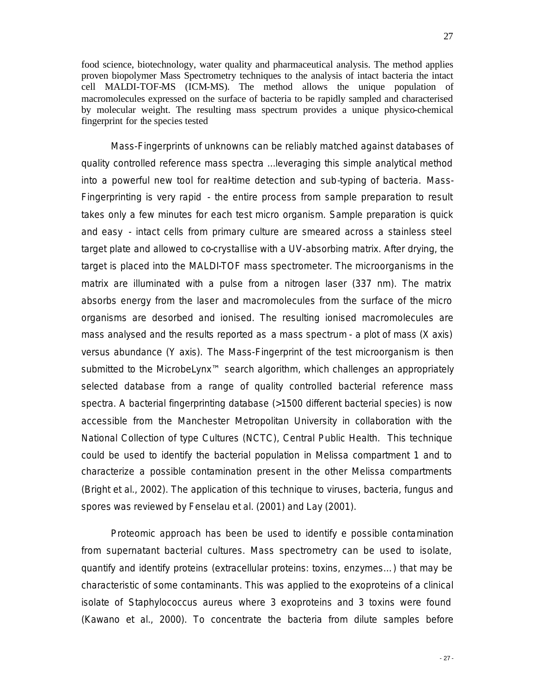food science, biotechnology, water quality and pharmaceutical analysis. The method applies proven biopolymer Mass Spectrometry techniques to the analysis of intact bacteria the intact cell MALDI-TOF-MS (ICM-MS). The method allows the unique population of macromolecules expressed on the surface of bacteria to be rapidly sampled and characterised by molecular weight. The resulting mass spectrum provides a unique physico-chemical fingerprint for the species tested

Mass-Fingerprints of unknowns can be reliably matched against databases of quality controlled reference mass spectra ...leveraging this simple analytical method into a powerful new tool for real-time detection and sub-typing of bacteria. Mass-Fingerprinting is very rapid - the entire process from sample preparation to result takes only a few minutes for each test micro organism. Sample preparation is quick and easy - intact cells from primary culture are smeared across a stainless steel target plate and allowed to co-crystallise with a UV-absorbing matrix. After drying, the target is placed into the MALDI-TOF mass spectrometer. The microorganisms in the matrix are illuminated with a pulse from a nitrogen laser (337 nm). The matrix absorbs energy from the laser and macromolecules from the surface of the micro organisms are desorbed and ionised. The resulting ionised macromolecules are mass analysed and the results reported as a mass spectrum - a plot of mass (X axis) versus abundance (Y axis). The Mass-Fingerprint of the test microorganism is then submitted to the MicrobeLynx<sup>™</sup> search algorithm, which challenges an appropriately selected database from a range of quality controlled bacterial reference mass spectra. A bacterial fingerprinting database (>1500 different bacterial species) is now accessible from the Manchester Metropolitan University in collaboration with the National Collection of type Cultures (NCTC), Central Public Health. This technique could be used to identify the bacterial population in Melissa compartment 1 and to characterize a possible contamination present in the other Melissa compartments (Bright et al., 2002). The application of this technique to viruses, bacteria, fungus and spores was reviewed by Fenselau et al. (2001) and Lay (2001).

Proteomic approach has been be used to identify e possible contamination from supernatant bacterial cultures. Mass spectrometry can be used to isolate, quantify and identify proteins (extracellular proteins: toxins, enzymes…) that may be characteristic of some contaminants. This was applied to the exoproteins of a clinical isolate of *Staphylococcus aureus* where 3 exoproteins and 3 toxins were found (Kawano et al., 2000). To concentrate the bacteria from dilute samples before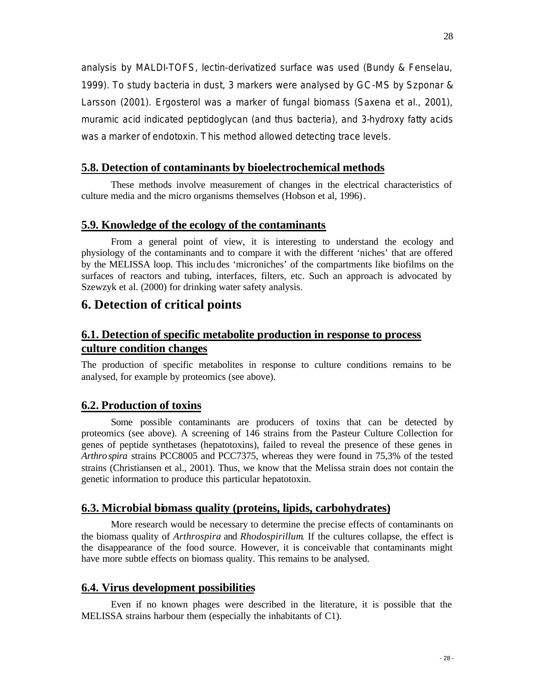analysis by MALDI-TOFS, lectin-derivatized surface was used (Bundy & Fenselau, 1999). To study bacteria in dust, 3 markers were analysed by GC-MS by Szponar & Larsson (2001). Ergosterol was a marker of fungal biomass (Saxena et al., 2001), muramic acid indicated peptidoglycan (and thus bacteria), and 3-hydroxy fatty acids was a marker of endotoxin. This method allowed detecting trace levels.

## **5.8. Detection of contaminants by bioelectrochemical methods**

These methods involve measurement of changes in the electrical characteristics of culture media and the micro organisms themselves (Hobson et al, 1996).

### **5.9. Knowledge of the ecology of the contaminants**

From a general point of view, it is interesting to understand the ecology and physiology of the contaminants and to compare it with the different 'niches' that are offered by the MELISSA loop. This includes 'microniches' of the compartments like biofilms on the surfaces of reactors and tubing, interfaces, filters, etc. Such an approach is advocated by Szewzyk et al. (2000) for drinking water safety analysis.

## **6. Detection of critical points**

## **6.1. Detection of specific metabolite production in response to process culture condition changes**

The production of specific metabolites in response to culture conditions remains to be analysed, for example by proteomics (see above).

### **6.2. Production of toxins**

Some possible contaminants are producers of toxins that can be detected by proteomics (see above). A screening of 146 strains from the Pasteur Culture Collection for genes of peptide synthetases (hepatotoxins), failed to reveal the presence of these genes in *Arthrospira* strains PCC8005 and PCC7375, whereas they were found in 75,3% of the tested strains (Christiansen et al., 2001). Thus, we know that the Melissa strain does not contain the genetic information to produce this particular hepatotoxin.

### **6.3. Microbial biomass quality (proteins, lipids, carbohydrates)**

More research would be necessary to determine the precise effects of contaminants on the biomass quality of *Arthrospira* and *Rhodospirillum*. If the cultures collapse, the effect is the disappearance of the food source. However, it is conceivable that contaminants might have more subtle effects on biomass quality. This remains to be analysed.

#### **6.4. Virus development possibilities**

Even if no known phages were described in the literature, it is possible that the MELISSA strains harbour them (especially the inhabitants of C1).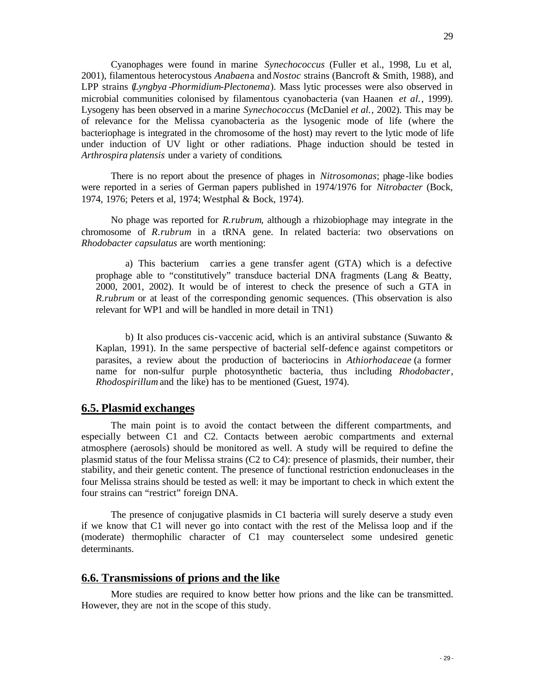Cyanophages were found in marine *Synechococcus* (Fuller et al., 1998, Lu et al, 2001), filamentous heterocystous *Anabaen*a and *Nostoc* strains (Bancroft & Smith, 1988), and LPP strains (*Lyngbya -Phormidium-Plectonema*). Mass lytic processes were also observed in microbial communities colonised by filamentous cyanobacteria (van Haanen *et al.*, 1999). Lysogeny has been observed in a marine *Synechococcus* (McDaniel *et al.*, 2002). This may be of relevanc e for the Melissa cyanobacteria as the lysogenic mode of life (where the bacteriophage is integrated in the chromosome of the host) may revert to the lytic mode of life under induction of UV light or other radiations. Phage induction should be tested in *Arthrospira platensis* under a variety of conditions*.*

There is no report about the presence of phages in *Nitrosomonas*; phage-like bodies were reported in a series of German papers published in 1974/1976 for *Nitrobacter* (Bock, 1974, 1976; Peters et al, 1974; Westphal & Bock, 1974).

No phage was reported for *R.rubrum*, although a rhizobiophage may integrate in the chromosome of *R.rubrum* in a tRNA gene. In related bacteria: two observations on *Rhodobacter capsulatus* are worth mentioning:

a) This bacterium carries a gene transfer agent (GTA) which is a defective prophage able to "constitutively" transduce bacterial DNA fragments (Lang & Beatty, 2000, 2001, 2002). It would be of interest to check the presence of such a GTA in *R.rubrum* or at least of the corresponding genomic sequences. (This observation is also relevant for WP1 and will be handled in more detail in TN1)

b) It also produces cis-vaccenic acid, which is an antiviral substance (Suwanto  $\&$ Kaplan, 1991). In the same perspective of bacterial self-defence against competitors or parasites, a review about the production of bacteriocins in *Athiorhodaceae* (a former name for non-sulfur purple photosynthetic bacteria, thus including *Rhodobacter*, *Rhodospirillum* and the like) has to be mentioned (Guest, 1974).

#### **6.5. Plasmid exchanges**

The main point is to avoid the contact between the different compartments, and especially between C1 and C2. Contacts between aerobic compartments and external atmosphere (aerosols) should be monitored as well. A study will be required to define the plasmid status of the four Melissa strains (C2 to C4): presence of plasmids, their number, their stability, and their genetic content. The presence of functional restriction endonucleases in the four Melissa strains should be tested as well: it may be important to check in which extent the four strains can "restrict" foreign DNA.

The presence of conjugative plasmids in C1 bacteria will surely deserve a study even if we know that C1 will never go into contact with the rest of the Melissa loop and if the (moderate) thermophilic character of C1 may counterselect some undesired genetic determinants.

#### **6.6. Transmissions of prions and the like**

More studies are required to know better how prions and the like can be transmitted. However, they are not in the scope of this study.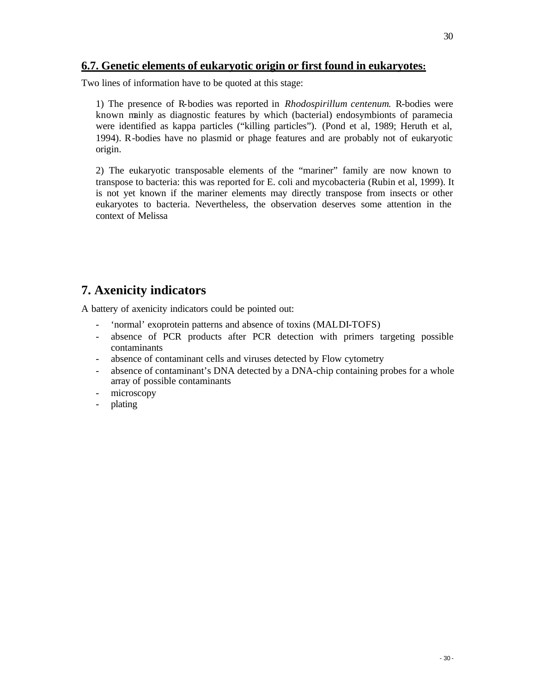## **6.7. Genetic elements of eukaryotic origin or first found in eukaryotes:**

Two lines of information have to be quoted at this stage:

1) The presence of R-bodies was reported in *Rhodospirillum centenum*. R-bodies were known mainly as diagnostic features by which (bacterial) endosymbionts of paramecia were identified as kappa particles ("killing particles"). (Pond et al, 1989; Heruth et al, 1994). R-bodies have no plasmid or phage features and are probably not of eukaryotic origin.

2) The eukaryotic transposable elements of the "mariner" family are now known to transpose to bacteria: this was reported for E. coli and mycobacteria (Rubin et al, 1999). It is not yet known if the mariner elements may directly transpose from insects or other eukaryotes to bacteria. Nevertheless, the observation deserves some attention in the context of Melissa

## **7. Axenicity indicators**

A battery of axenicity indicators could be pointed out:

- 'normal' exoprotein patterns and absence of toxins (MALDI-TOFS)
- absence of PCR products after PCR detection with primers targeting possible contaminants
- absence of contaminant cells and viruses detected by Flow cytometry
- absence of contaminant's DNA detected by a DNA-chip containing probes for a whole array of possible contaminants
- microscopy
- plating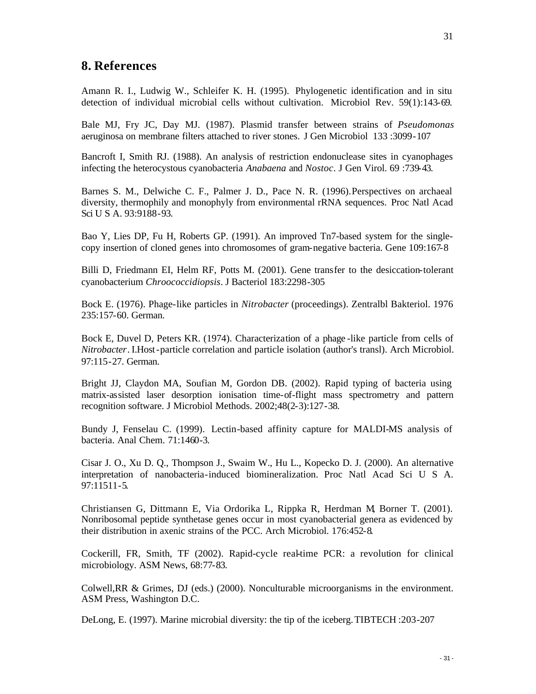Amann R. I., Ludwig W., Schleifer K. H. (1995). Phylogenetic identification and in situ detection of individual microbial cells without cultivation. Microbiol Rev. 59(1):143-69.

Bale MJ, Fry JC, Day MJ. (1987). Plasmid transfer between strains of *Pseudomonas* aeruginosa on membrane filters attached to river stones. J Gen Microbiol 133 :3099-107

Bancroft I, Smith RJ. (1988). An analysis of restriction endonuclease sites in cyanophages infecting the heterocystous cyanobacteria *Anabaena* and *Nostoc*. J Gen Virol. 69 :739-43.

Barnes S. M., Delwiche C. F., Palmer J. D., Pace N. R. (1996).Perspectives on archaeal diversity, thermophily and monophyly from environmental rRNA sequences. Proc Natl Acad Sci U S A. 93:9188-93.

Bao Y, Lies DP, Fu H, Roberts GP. (1991). An improved Tn7-based system for the singlecopy insertion of cloned genes into chromosomes of gram-negative bacteria. Gene 109:167-8

Billi D, Friedmann EI, Helm RF, Potts M. (2001). Gene transfer to the desiccation-tolerant cyanobacterium *Chroococcidiopsis*. J Bacteriol 183:2298-305

Bock E. (1976). Phage-like particles in *Nitrobacter* (proceedings). Zentralbl Bakteriol. 1976 235:157-60. German.

Bock E, Duvel D, Peters KR. (1974). Characterization of a phage -like particle from cells of *Nitrobacter*. I.Host-particle correlation and particle isolation (author's transl). Arch Microbiol. 97:115-27. German.

Bright JJ, Claydon MA, Soufian M, Gordon DB. (2002). Rapid typing of bacteria using matrix-assisted laser desorption ionisation time-of-flight mass spectrometry and pattern recognition software. J Microbiol Methods. 2002;48(2-3):127-38.

Bundy J, Fenselau C. (1999). Lectin-based affinity capture for MALDI-MS analysis of bacteria. Anal Chem. 71:1460-3.

Cisar J. O., Xu D. Q., Thompson J., Swaim W., Hu L., Kopecko D. J. (2000). An alternative interpretation of nanobacteria-induced biomineralization. Proc Natl Acad Sci U S A. 97:11511-5.

Christiansen G, Dittmann E, Via Ordorika L, Rippka R, Herdman M, Borner T. (2001). Nonribosomal peptide synthetase genes occur in most cyanobacterial genera as evidenced by their distribution in axenic strains of the PCC. Arch Microbiol. 176:452-8.

Cockerill, FR, Smith, TF (2002). Rapid-cycle real-time PCR: a revolution for clinical microbiology. ASM News, 68:77-83.

Colwell,RR & Grimes, DJ (eds.) (2000). Nonculturable microorganisms in the environment. ASM Press, Washington D.C.

DeLong, E. (1997). Marine microbial diversity: the tip of the iceberg.TIBTECH :203-207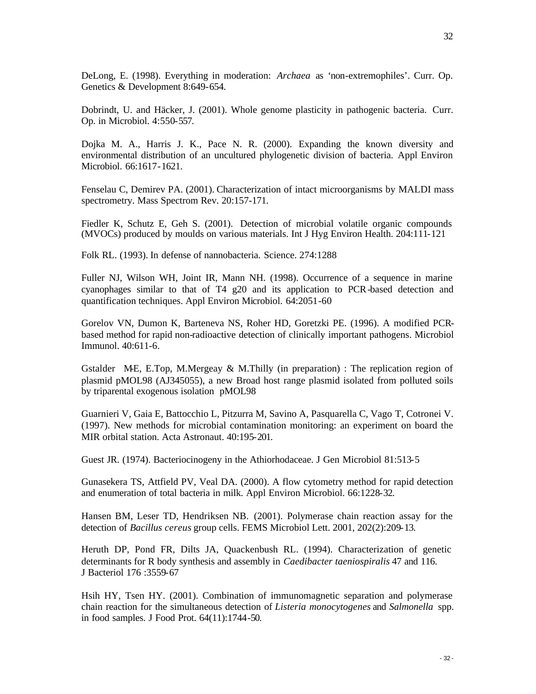DeLong, E. (1998). Everything in moderation: *Archaea* as 'non-extremophiles'. Curr. Op. Genetics & Development 8:649-654.

Dobrindt, U. and Häcker, J. (2001). Whole genome plasticity in pathogenic bacteria. Curr. Op. in Microbiol. 4:550-557.

Dojka M. A., Harris J. K., Pace N. R. (2000). Expanding the known diversity and environmental distribution of an uncultured phylogenetic division of bacteria. Appl Environ Microbiol. 66:1617-1621.

Fenselau C, Demirev PA. (2001). Characterization of intact microorganisms by MALDI mass spectrometry. Mass Spectrom Rev. 20:157-171.

Fiedler K, Schutz E, Geh S. (2001). Detection of microbial volatile organic compounds (MVOCs) produced by moulds on various materials. Int J Hyg Environ Health. 204:111-121

Folk RL. (1993). In defense of nannobacteria. Science. 274:1288

Fuller NJ, Wilson WH, Joint IR, Mann NH. (1998). Occurrence of a sequence in marine cyanophages similar to that of T4 g20 and its application to PCR-based detection and quantification techniques. Appl Environ Microbiol. 64:2051-60

Gorelov VN, Dumon K, Barteneva NS, Roher HD, Goretzki PE. (1996). A modified PCRbased method for rapid non-radioactive detection of clinically important pathogens. Microbiol Immunol. 40:611-6.

Gstalder M-E, E.Top, M.Mergeay & M.Thilly (in preparation) : The replication region of plasmid pMOL98 (AJ345055), a new Broad host range plasmid isolated from polluted soils by triparental exogenous isolation pMOL98

Guarnieri V, Gaia E, Battocchio L, Pitzurra M, Savino A, Pasquarella C, Vago T, Cotronei V. (1997). New methods for microbial contamination monitoring: an experiment on board the MIR orbital station. Acta Astronaut. 40:195-201.

Guest JR. (1974). Bacteriocinogeny in the Athiorhodaceae. J Gen Microbiol 81:513-5

Gunasekera TS, Attfield PV, Veal DA. (2000). A flow cytometry method for rapid detection and enumeration of total bacteria in milk. Appl Environ Microbiol. 66:1228-32.

Hansen BM, Leser TD, Hendriksen NB. (2001). Polymerase chain reaction assay for the detection of *Bacillus cereus* group cells. FEMS Microbiol Lett. 2001, 202(2):209-13.

Heruth DP, Pond FR, Dilts JA, Quackenbush RL. (1994). Characterization of genetic determinants for R body synthesis and assembly in *Caedibacter taeniospiralis* 47 and 116. J Bacteriol 176 :3559-67

Hsih HY, Tsen HY. (2001). Combination of immunomagnetic separation and polymerase chain reaction for the simultaneous detection of *Listeria monocytogenes* and *Salmonella* spp. in food samples. J Food Prot. 64(11):1744-50.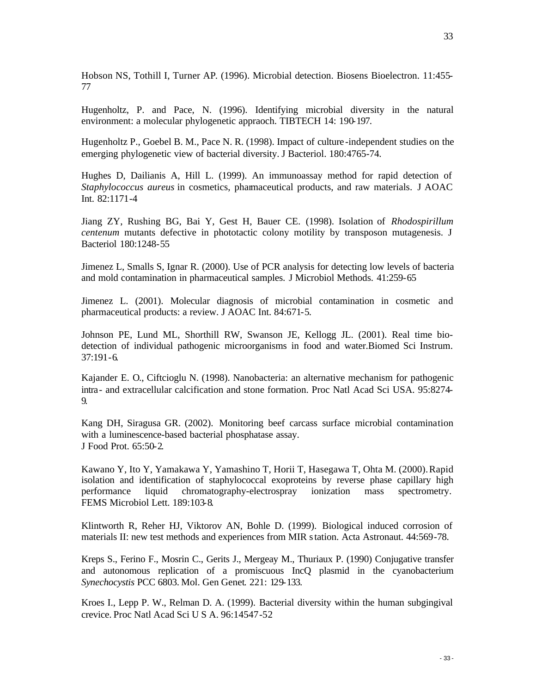Hobson NS, Tothill I, Turner AP. (1996). Microbial detection. Biosens Bioelectron. 11:455- 77

Hugenholtz, P. and Pace, N. (1996). Identifying microbial diversity in the natural environment: a molecular phylogenetic appraoch. TIBTECH 14: 190-197.

Hugenholtz P., Goebel B. M., Pace N. R. (1998). Impact of culture -independent studies on the emerging phylogenetic view of bacterial diversity. J Bacteriol. 180:4765-74.

Hughes D, Dailianis A, Hill L. (1999). An immunoassay method for rapid detection of *Staphylococcus aureus* in cosmetics, pharmaceutical products, and raw materials. J AOAC Int. 82:1171-4

Jiang ZY, Rushing BG, Bai Y, Gest H, Bauer CE. (1998). Isolation of *Rhodospirillum centenum* mutants defective in phototactic colony motility by transposon mutagenesis. J Bacteriol 180:1248-55

Jimenez L, Smalls S, Ignar R. (2000). Use of PCR analysis for detecting low levels of bacteria and mold contamination in pharmaceutical samples. J Microbiol Methods. 41:259-65

Jimenez L. (2001). Molecular diagnosis of microbial contamination in cosmetic and pharmaceutical products: a review. J AOAC Int. 84:671-5.

Johnson PE, Lund ML, Shorthill RW, Swanson JE, Kellogg JL. (2001). Real time biodetection of individual pathogenic microorganisms in food and water.Biomed Sci Instrum. 37:191-6.

Kajander E. O., Ciftcioglu N. (1998). Nanobacteria: an alternative mechanism for pathogenic intra- and extracellular calcification and stone formation. Proc Natl Acad Sci USA. 95:8274- 9.

Kang DH, Siragusa GR. (2002). Monitoring beef carcass surface microbial contamination with a luminescence-based bacterial phosphatase assay. J Food Prot. 65:50-2.

Kawano Y, Ito Y, Yamakawa Y, Yamashino T, Horii T, Hasegawa T, Ohta M. (2000). Rapid isolation and identification of staphylococcal exoproteins by reverse phase capillary high performance liquid chromatography-electrospray ionization mass spectrometry. FEMS Microbiol Lett. 189:103-8.

Klintworth R, Reher HJ, Viktorov AN, Bohle D. (1999). Biological induced corrosion of materials II: new test methods and experiences from MIR station. Acta Astronaut. 44:569-78.

Kreps S., Ferino F., Mosrin C., Gerits J., Mergeay M., Thuriaux P. (1990) Conjugative transfer and autonomous replication of a promiscuous IncQ plasmid in the cyanobacterium *Synechocystis* PCC 6803. Mol. Gen Genet. 221: 129-133.

Kroes I., Lepp P. W., Relman D. A. (1999). Bacterial diversity within the human subgingival crevice. Proc Natl Acad Sci U S A. 96:14547-52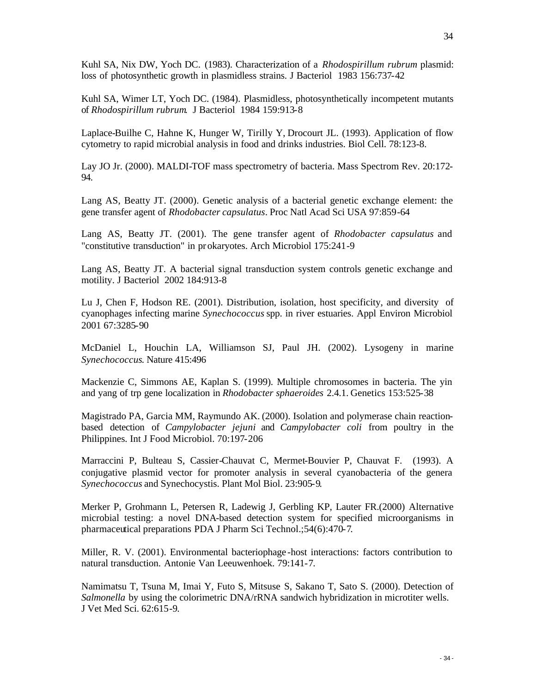Kuhl SA, Wimer LT, Yoch DC. (1984). Plasmidless, photosynthetically incompetent mutants of *Rhodospirillum rubrum*. J Bacteriol 1984 159:913-8

Laplace-Builhe C, Hahne K, Hunger W, Tirilly Y, Drocourt JL. (1993). Application of flow cytometry to rapid microbial analysis in food and drinks industries. Biol Cell. 78:123-8.

Lay JO Jr. (2000). MALDI-TOF mass spectrometry of bacteria. Mass Spectrom Rev. 20:172- 94.

Lang AS, Beatty JT. (2000). Genetic analysis of a bacterial genetic exchange element: the gene transfer agent of *Rhodobacter capsulatus*. Proc Natl Acad Sci USA 97:859-64

Lang AS, Beatty JT. (2001). The gene transfer agent of *Rhodobacter capsulatus* and "constitutive transduction" in prokaryotes. Arch Microbiol 175:241-9

Lang AS, Beatty JT. A bacterial signal transduction system controls genetic exchange and motility. J Bacteriol 2002 184:913-8

Lu J, Chen F, Hodson RE. (2001). Distribution, isolation, host specificity, and diversity of cyanophages infecting marine *Synechococcus* spp. in river estuaries. Appl Environ Microbiol 2001 67:3285-90

McDaniel L, Houchin LA, Williamson SJ, Paul JH. (2002). Lysogeny in marine *Synechococcus*. Nature 415:496

Mackenzie C, Simmons AE, Kaplan S. (1999). Multiple chromosomes in bacteria. The yin and yang of trp gene localization in *Rhodobacter sphaeroides* 2.4.1. Genetics 153:525-38

Magistrado PA, Garcia MM, Raymundo AK. (2000). Isolation and polymerase chain reactionbased detection of *Campylobacter jejuni* and *Campylobacter coli* from poultry in the Philippines. Int J Food Microbiol. 70:197-206

Marraccini P, Bulteau S, Cassier-Chauvat C, Mermet-Bouvier P, Chauvat F. (1993). A conjugative plasmid vector for promoter analysis in several cyanobacteria of the genera *Synechococcus* and Synechocystis. Plant Mol Biol. 23:905-9.

Merker P, Grohmann L, Petersen R, Ladewig J, Gerbling KP, Lauter FR.(2000) Alternative microbial testing: a novel DNA-based detection system for specified microorganisms in pharmaceutical preparations PDA J Pharm Sci Technol.;54(6):470-7.

Miller, R. V. (2001). Environmental bacteriophage -host interactions: factors contribution to natural transduction. Antonie Van Leeuwenhoek. 79:141-7.

Namimatsu T, Tsuna M, Imai Y, Futo S, Mitsuse S, Sakano T, Sato S. (2000). Detection of *Salmonella* by using the colorimetric DNA/rRNA sandwich hybridization in microtiter wells. J Vet Med Sci. 62:615-9.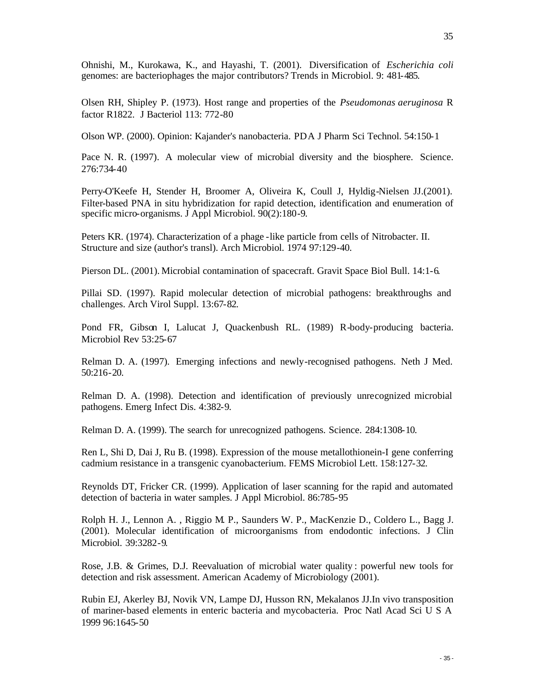Olsen RH, Shipley P. (1973). Host range and properties of the *Pseudomonas aeruginosa* R factor R1822. J Bacteriol 113: 772-80

Olson WP. (2000). Opinion: Kajander's nanobacteria. PDA J Pharm Sci Technol. 54:150-1

Pace N. R. (1997). A molecular view of microbial diversity and the biosphere. Science. 276:734-40

Perry-O'Keefe H, Stender H, Broomer A, Oliveira K, Coull J, Hyldig-Nielsen JJ.(2001). Filter-based PNA in situ hybridization for rapid detection, identification and enumeration of specific micro-organisms. J Appl Microbiol. 90(2):180-9.

Peters KR. (1974). Characterization of a phage -like particle from cells of Nitrobacter. II. Structure and size (author's transl). Arch Microbiol. 1974 97:129-40.

Pierson DL. (2001). Microbial contamination of spacecraft. Gravit Space Biol Bull. 14:1-6.

Pillai SD. (1997). Rapid molecular detection of microbial pathogens: breakthroughs and challenges. Arch Virol Suppl. 13:67-82.

Pond FR, Gibson I, Lalucat J, Quackenbush RL. (1989) R-body-producing bacteria. Microbiol Rev 53:25-67

Relman D. A. (1997). Emerging infections and newly-recognised pathogens. Neth J Med. 50:216-20.

Relman D. A. (1998). Detection and identification of previously unrecognized microbial pathogens. Emerg Infect Dis. 4:382-9.

Relman D. A. (1999). The search for unrecognized pathogens. Science. 284:1308-10.

Ren L, Shi D, Dai J, Ru B. (1998). Expression of the mouse metallothionein-I gene conferring cadmium resistance in a transgenic cyanobacterium. FEMS Microbiol Lett. 158:127-32.

Reynolds DT, Fricker CR. (1999). Application of laser scanning for the rapid and automated detection of bacteria in water samples. J Appl Microbiol. 86:785-95

Rolph H. J., Lennon A. , Riggio M. P., Saunders W. P., MacKenzie D., Coldero L., Bagg J. (2001). Molecular identification of microorganisms from endodontic infections. J Clin Microbiol. 39:3282-9.

Rose, J.B. & Grimes, D.J. Reevaluation of microbial water quality : powerful new tools for detection and risk assessment. American Academy of Microbiology (2001).

Rubin EJ, Akerley BJ, Novik VN, Lampe DJ, Husson RN, Mekalanos JJ.In vivo transposition of mariner-based elements in enteric bacteria and mycobacteria. Proc Natl Acad Sci U S A 1999 96:1645-50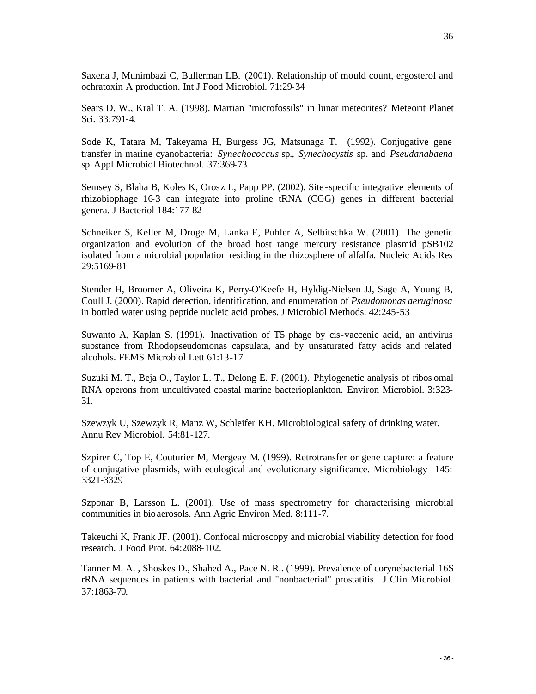36

Saxena J, Munimbazi C, Bullerman LB. (2001). Relationship of mould count, ergosterol and ochratoxin A production. Int J Food Microbiol. 71:29-34

Sears D. W., Kral T. A. (1998). Martian "microfossils" in lunar meteorites? Meteorit Planet Sci. 33:791-4.

Sode K, Tatara M, Takeyama H, Burgess JG, Matsunaga T. (1992). Conjugative gene transfer in marine cyanobacteria: *Synechococcus* sp., *Synechocystis* sp. and *Pseudanabaena* sp. Appl Microbiol Biotechnol. 37:369-73.

Semsey S, Blaha B, Koles K, Orosz L, Papp PP. (2002). Site -specific integrative elements of rhizobiophage 16-3 can integrate into proline tRNA (CGG) genes in different bacterial genera. J Bacteriol 184:177-82

Schneiker S, Keller M, Droge M, Lanka E, Puhler A, Selbitschka W. (2001). The genetic organization and evolution of the broad host range mercury resistance plasmid pSB102 isolated from a microbial population residing in the rhizosphere of alfalfa. Nucleic Acids Res 29:5169-81

Stender H, Broomer A, Oliveira K, Perry-O'Keefe H, Hyldig-Nielsen JJ, Sage A, Young B, Coull J. (2000). Rapid detection, identification, and enumeration of *Pseudomonas aeruginosa* in bottled water using peptide nucleic acid probes. J Microbiol Methods. 42:245-53

Suwanto A, Kaplan S. (1991). Inactivation of T5 phage by cis-vaccenic acid, an antivirus substance from Rhodopseudomonas capsulata, and by unsaturated fatty acids and related alcohols. FEMS Microbiol Lett 61:13-17

Suzuki M. T., Beja O., Taylor L. T., Delong E. F. (2001). Phylogenetic analysis of ribos omal RNA operons from uncultivated coastal marine bacterioplankton. Environ Microbiol. 3:323- 31.

Szewzyk U, Szewzyk R, Manz W, Schleifer KH. Microbiological safety of drinking water. Annu Rev Microbiol. 54:81-127.

Szpirer C, Top E, Couturier M, Mergeay M. (1999). Retrotransfer or gene capture: a feature of conjugative plasmids, with ecological and evolutionary significance. Microbiology 145: 3321-3329

Szponar B, Larsson L. (2001). Use of mass spectrometry for characterising microbial communities in bioaerosols. Ann Agric Environ Med. 8:111-7.

Takeuchi K, Frank JF. (2001). Confocal microscopy and microbial viability detection for food research. J Food Prot. 64:2088-102.

Tanner M. A. , Shoskes D., Shahed A., Pace N. R.. (1999). Prevalence of corynebacterial 16S rRNA sequences in patients with bacterial and "nonbacterial" prostatitis. J Clin Microbiol. 37:1863-70.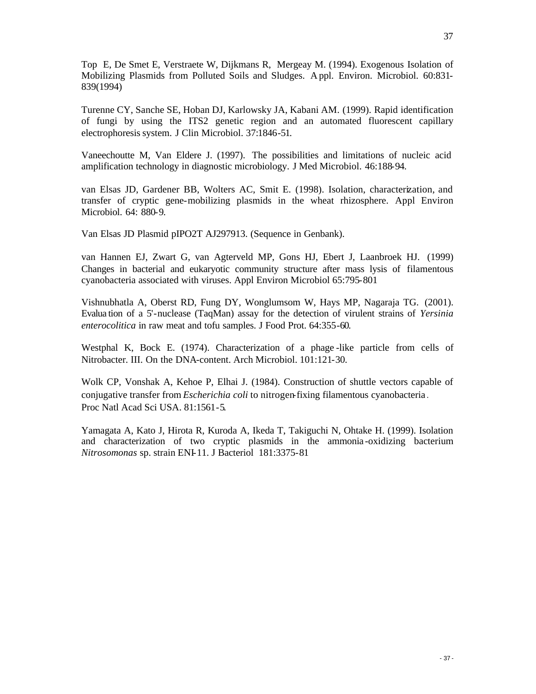Top E, De Smet E, Verstraete W, Dijkmans R, Mergeay M. (1994). Exogenous Isolation of Mobilizing Plasmids from Polluted Soils and Sludges. A ppl. Environ. Microbiol. 60:831- 839(1994)

Turenne CY, Sanche SE, Hoban DJ, Karlowsky JA, Kabani AM. (1999). Rapid identification of fungi by using the ITS2 genetic region and an automated fluorescent capillary electrophoresis system. J Clin Microbiol. 37:1846-51.

Vaneechoutte M, Van Eldere J. (1997). The possibilities and limitations of nucleic acid amplification technology in diagnostic microbiology. J Med Microbiol. 46:188-94.

van Elsas JD, Gardener BB, Wolters AC, Smit E. (1998). Isolation, characterization, and transfer of cryptic gene-mobilizing plasmids in the wheat rhizosphere. Appl Environ Microbiol. 64: 880-9.

Van Elsas JD Plasmid pIPO2T AJ297913. (Sequence in Genbank).

van Hannen EJ, Zwart G, van Agterveld MP, Gons HJ, Ebert J, Laanbroek HJ. (1999) Changes in bacterial and eukaryotic community structure after mass lysis of filamentous cyanobacteria associated with viruses. Appl Environ Microbiol 65:795-801

Vishnubhatla A, Oberst RD, Fung DY, Wonglumsom W, Hays MP, Nagaraja TG. (2001). Evalua tion of a 5'-nuclease (TaqMan) assay for the detection of virulent strains of *Yersinia enterocolitica* in raw meat and tofu samples. J Food Prot. 64:355-60.

Westphal K, Bock E. (1974). Characterization of a phage-like particle from cells of Nitrobacter. III. On the DNA-content. Arch Microbiol. 101:121-30.

Wolk CP, Vonshak A, Kehoe P, Elhai J. (1984). Construction of shuttle vectors capable of conjugative transfer from *Escherichia coli* to nitrogen-fixing filamentous cyanobacteria . Proc Natl Acad Sci USA. 81:1561-5.

Yamagata A, Kato J, Hirota R, Kuroda A, Ikeda T, Takiguchi N, Ohtake H. (1999). Isolation and characterization of two cryptic plasmids in the ammonia -oxidizing bacterium *Nitrosomonas* sp. strain ENI-11. J Bacteriol 181:3375-81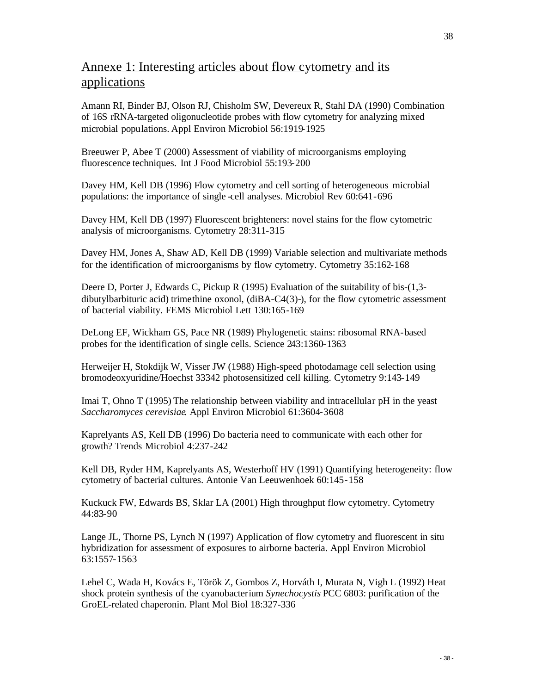## Annexe 1: Interesting articles about flow cytometry and its applications

Amann RI, Binder BJ, Olson RJ, Chisholm SW, Devereux R, Stahl DA (1990) Combination of 16S rRNA-targeted oligonucleotide probes with flow cytometry for analyzing mixed microbial populations. Appl Environ Microbiol 56:1919-1925

Breeuwer P, Abee T (2000) Assessment of viability of microorganisms employing fluorescence techniques. Int J Food Microbiol 55:193-200

Davey HM, Kell DB (1996) Flow cytometry and cell sorting of heterogeneous microbial populations: the importance of single -cell analyses. Microbiol Rev 60:641-696

Davey HM, Kell DB (1997) Fluorescent brighteners: novel stains for the flow cytometric analysis of microorganisms. Cytometry 28:311-315

Davey HM, Jones A, Shaw AD, Kell DB (1999) Variable selection and multivariate methods for the identification of microorganisms by flow cytometry. Cytometry 35:162-168

Deere D, Porter J, Edwards C, Pickup R (1995) Evaluation of the suitability of bis-(1,3 dibutylbarbituric acid) trimethine oxonol, (diBA-C4(3)-), for the flow cytometric assessment of bacterial viability. FEMS Microbiol Lett 130:165-169

DeLong EF, Wickham GS, Pace NR (1989) Phylogenetic stains: ribosomal RNA-based probes for the identification of single cells. Science 243:1360-1363

Herweijer H, Stokdijk W, Visser JW (1988) High-speed photodamage cell selection using bromodeoxyuridine/Hoechst 33342 photosensitized cell killing. Cytometry 9:143-149

Imai T, Ohno T (1995) The relationship between viability and intracellular pH in the yeast *Saccharomyces cerevisiae*. Appl Environ Microbiol 61:3604-3608

Kaprelyants AS, Kell DB (1996) Do bacteria need to communicate with each other for growth? Trends Microbiol 4:237-242

Kell DB, Ryder HM, Kaprelyants AS, Westerhoff HV (1991) Quantifying heterogeneity: flow cytometry of bacterial cultures. Antonie Van Leeuwenhoek 60:145-158

Kuckuck FW, Edwards BS, Sklar LA (2001) High throughput flow cytometry. Cytometry 44:83-90

Lange JL, Thorne PS, Lynch N (1997) Application of flow cytometry and fluorescent in situ hybridization for assessment of exposures to airborne bacteria. Appl Environ Microbiol 63:1557-1563

Lehel C, Wada H, Kovács E, Török Z, Gombos Z, Horváth I, Murata N, Vigh L (1992) Heat shock protein synthesis of the cyanobacterium *Synechocystis* PCC 6803: purification of the GroEL-related chaperonin. Plant Mol Biol 18:327-336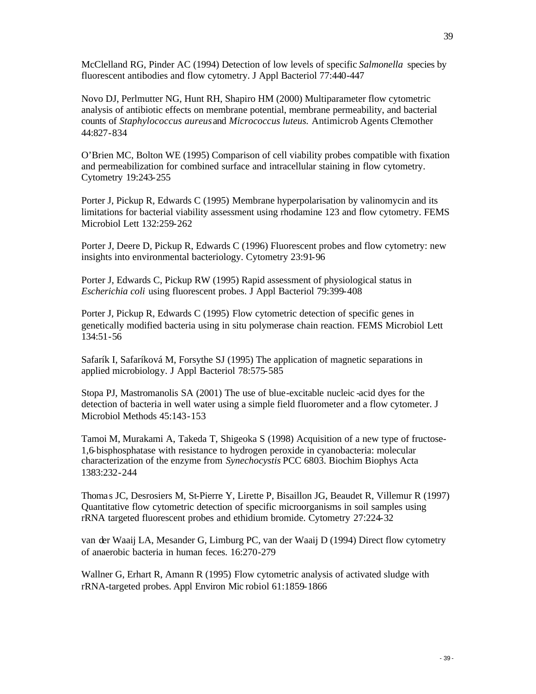McClelland RG, Pinder AC (1994) Detection of low levels of specific *Salmonella* species by fluorescent antibodies and flow cytometry. J Appl Bacteriol 77:440-447

Novo DJ, Perlmutter NG, Hunt RH, Shapiro HM (2000) Multiparameter flow cytometric analysis of antibiotic effects on membrane potential, membrane permeability, and bacterial counts of *Staphylococcus aureus* and *Micrococcus luteus*. Antimicrob Agents Chemother 44:827-834

O'Brien MC, Bolton WE (1995) Comparison of cell viability probes compatible with fixation and permeabilization for combined surface and intracellular staining in flow cytometry. Cytometry 19:243-255

Porter J, Pickup R, Edwards C (1995) Membrane hyperpolarisation by valinomycin and its limitations for bacterial viability assessment using rhodamine 123 and flow cytometry. FEMS Microbiol Lett 132:259-262

Porter J, Deere D, Pickup R, Edwards C (1996) Fluorescent probes and flow cytometry: new insights into environmental bacteriology. Cytometry 23:91-96

Porter J, Edwards C, Pickup RW (1995) Rapid assessment of physiological status in *Escherichia coli* using fluorescent probes. J Appl Bacteriol 79:399-408

Porter J, Pickup R, Edwards C (1995) Flow cytometric detection of specific genes in genetically modified bacteria using in situ polymerase chain reaction. FEMS Microbiol Lett 134:51-56

Safarík I, Safaríková M, Forsythe SJ (1995) The application of magnetic separations in applied microbiology. J Appl Bacteriol 78:575-585

Stopa PJ, Mastromanolis SA (2001) The use of blue-excitable nucleic -acid dyes for the detection of bacteria in well water using a simple field fluorometer and a flow cytometer. J Microbiol Methods 45:143-153

Tamoi M, Murakami A, Takeda T, Shigeoka S (1998) Acquisition of a new type of fructose-1,6-bisphosphatase with resistance to hydrogen peroxide in cyanobacteria: molecular characterization of the enzyme from *Synechocystis* PCC 6803. Biochim Biophys Acta 1383:232-244

Thomas JC, Desrosiers M, St-Pierre Y, Lirette P, Bisaillon JG, Beaudet R, Villemur R (1997) Quantitative flow cytometric detection of specific microorganisms in soil samples using rRNA targeted fluorescent probes and ethidium bromide. Cytometry 27:224-32

van der Waaij LA, Mesander G, Limburg PC, van der Waaij D (1994) Direct flow cytometry of anaerobic bacteria in human feces. 16:270-279

Wallner G, Erhart R, Amann R (1995) Flow cytometric analysis of activated sludge with rRNA-targeted probes. Appl Environ Mic robiol 61:1859-1866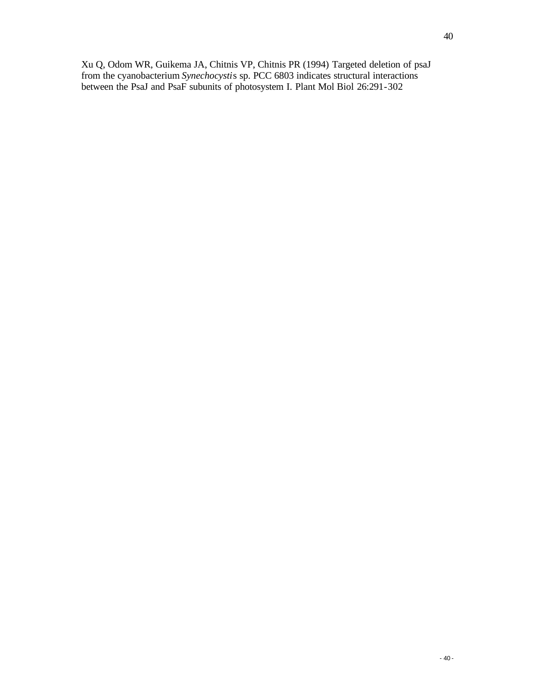Xu Q, Odom WR, Guikema JA, Chitnis VP, Chitnis PR (1994) Targeted deletion of psaJ from the cyanobacterium *Synechocysti*s sp. PCC 6803 indicates structural interactions between the PsaJ and PsaF subunits of photosystem I. Plant Mol Biol 26:291-302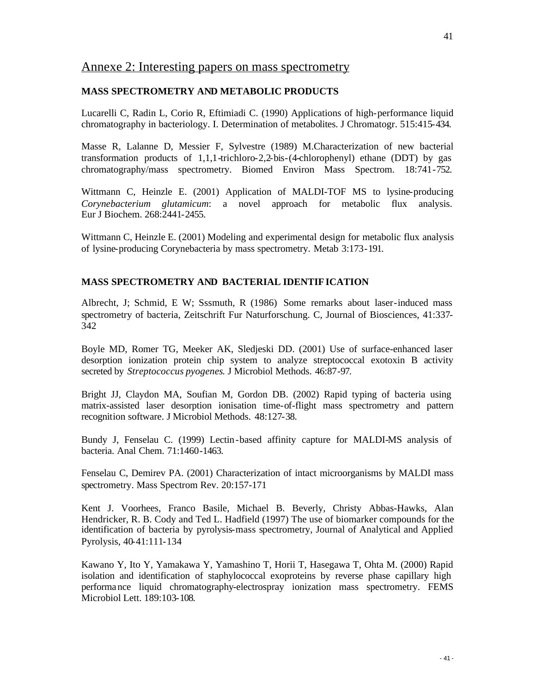## Annexe 2: Interesting papers on mass spectrometry

#### **MASS SPECTROMETRY AND METABOLIC PRODUCTS**

Lucarelli C, Radin L, Corio R, Eftimiadi C. (1990) Applications of high-performance liquid chromatography in bacteriology. I. Determination of metabolites. J Chromatogr. 515:415-434.

Masse R, Lalanne D, Messier F, Sylvestre (1989) M.Characterization of new bacterial transformation products of 1,1,1-trichloro-2,2-bis-(4-chlorophenyl) ethane (DDT) by gas chromatography/mass spectrometry. Biomed Environ Mass Spectrom. 18:741-752.

Wittmann C, Heinzle E. (2001) Application of MALDI-TOF MS to lysine-producing *Corynebacterium glutamicum*: a novel approach for metabolic flux analysis. Eur J Biochem. 268:2441-2455.

Wittmann C, Heinzle E. (2001) Modeling and experimental design for metabolic flux analysis of lysine-producing Corynebacteria by mass spectrometry. Metab 3:173-191.

#### **MASS SPECTROMETRY AND BACTERIAL IDENTIFICATION**

Albrecht, J; Schmid, E W; Sssmuth, R (1986) Some remarks about laser-induced mass spectrometry of bacteria, Zeitschrift Fur Naturforschung. C, Journal of Biosciences, 41:337- 342

Boyle MD, Romer TG, Meeker AK, Sledjeski DD. (2001) Use of surface-enhanced laser desorption ionization protein chip system to analyze streptococcal exotoxin B activity secreted by *Streptococcus pyogenes*. J Microbiol Methods. 46:87-97.

Bright JJ, Claydon MA, Soufian M, Gordon DB. (2002) Rapid typing of bacteria using matrix-assisted laser desorption ionisation time-of-flight mass spectrometry and pattern recognition software. J Microbiol Methods. 48:127-38.

Bundy J, Fenselau C. (1999) Lectin-based affinity capture for MALDI-MS analysis of bacteria. Anal Chem. 71:1460-1463.

Fenselau C, Demirev PA. (2001) Characterization of intact microorganisms by MALDI mass spectrometry. Mass Spectrom Rev. 20:157-171

Kent J. Voorhees, Franco Basile, Michael B. Beverly, Christy Abbas-Hawks, Alan Hendricker, R. B. Cody and Ted L. Hadfield (1997) The use of biomarker compounds for the identification of bacteria by pyrolysis-mass spectrometry, Journal of Analytical and Applied Pyrolysis, 40-41:111-134

Kawano Y, Ito Y, Yamakawa Y, Yamashino T, Horii T, Hasegawa T, Ohta M. (2000) Rapid isolation and identification of staphylococcal exoproteins by reverse phase capillary high performance liquid chromatography-electrospray ionization mass spectrometry. FEMS Microbiol Lett. 189:103-108.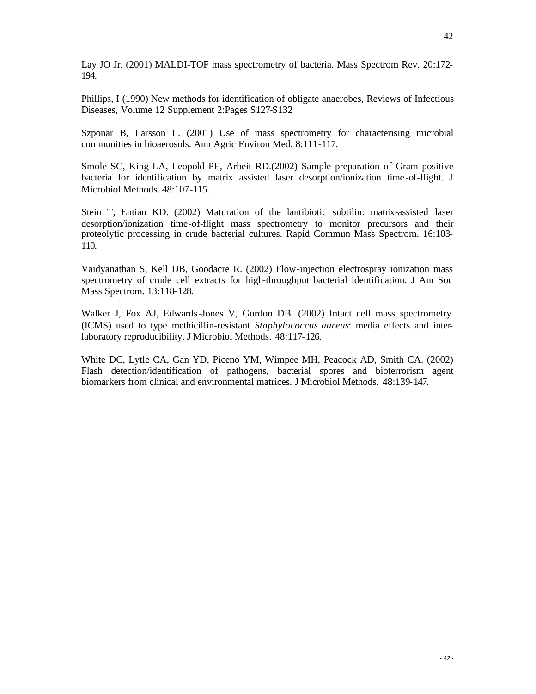Lay JO Jr. (2001) MALDI-TOF mass spectrometry of bacteria. Mass Spectrom Rev. 20:172- 194.

Phillips, I (1990) New methods for identification of obligate anaerobes, Reviews of Infectious Diseases, Volume 12 Supplement 2:Pages S127-S132

Szponar B, Larsson L. (2001) Use of mass spectrometry for characterising microbial communities in bioaerosols. Ann Agric Environ Med. 8:111-117.

Smole SC, King LA, Leopold PE, Arbeit RD.(2002) Sample preparation of Gram-positive bacteria for identification by matrix assisted laser desorption/ionization time -of-flight. J Microbiol Methods. 48:107-115.

Stein T, Entian KD. (2002) Maturation of the lantibiotic subtilin: matrix-assisted laser desorption/ionization time-of-flight mass spectrometry to monitor precursors and their proteolytic processing in crude bacterial cultures. Rapid Commun Mass Spectrom. 16:103- 110.

Vaidyanathan S, Kell DB, Goodacre R. (2002) Flow-injection electrospray ionization mass spectrometry of crude cell extracts for high-throughput bacterial identification. J Am Soc Mass Spectrom. 13:118-128.

Walker J, Fox AJ, Edwards-Jones V, Gordon DB. (2002) Intact cell mass spectrometry (ICMS) used to type methicillin-resistant *Staphylococcus aureus*: media effects and interlaboratory reproducibility. J Microbiol Methods. 48:117-126.

White DC, Lytle CA, Gan YD, Piceno YM, Wimpee MH, Peacock AD, Smith CA. (2002) Flash detection/identification of pathogens, bacterial spores and bioterrorism agent biomarkers from clinical and environmental matrices. J Microbiol Methods. 48:139-147.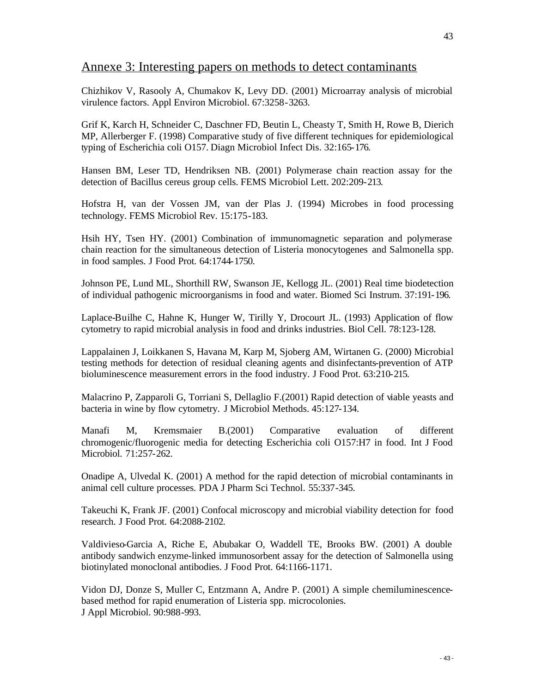## Annexe 3: Interesting papers on methods to detect contaminants

Chizhikov V, Rasooly A, Chumakov K, Levy DD. (2001) Microarray analysis of microbial virulence factors. Appl Environ Microbiol. 67:3258-3263.

Grif K, Karch H, Schneider C, Daschner FD, Beutin L, Cheasty T, Smith H, Rowe B, Dierich MP, Allerberger F. (1998) Comparative study of five different techniques for epidemiological typing of Escherichia coli O157. Diagn Microbiol Infect Dis. 32:165-176.

Hansen BM, Leser TD, Hendriksen NB. (2001) Polymerase chain reaction assay for the detection of Bacillus cereus group cells. FEMS Microbiol Lett. 202:209-213.

Hofstra H, van der Vossen JM, van der Plas J. (1994) Microbes in food processing technology. FEMS Microbiol Rev. 15:175-183.

Hsih HY, Tsen HY. (2001) Combination of immunomagnetic separation and polymerase chain reaction for the simultaneous detection of Listeria monocytogenes and Salmonella spp. in food samples. J Food Prot. 64:1744-1750.

Johnson PE, Lund ML, Shorthill RW, Swanson JE, Kellogg JL. (2001) Real time biodetection of individual pathogenic microorganisms in food and water. Biomed Sci Instrum. 37:191-196.

Laplace-Builhe C, Hahne K, Hunger W, Tirilly Y, Drocourt JL. (1993) Application of flow cytometry to rapid microbial analysis in food and drinks industries. Biol Cell. 78:123-128.

Lappalainen J, Loikkanen S, Havana M, Karp M, Sjoberg AM, Wirtanen G. (2000) Microbial testing methods for detection of residual cleaning agents and disinfectants-prevention of ATP bioluminescence measurement errors in the food industry. J Food Prot. 63:210-215.

Malacrino P, Zapparoli G, Torriani S, Dellaglio F.(2001) Rapid detection of viable yeasts and bacteria in wine by flow cytometry. J Microbiol Methods. 45:127-134.

Manafi M, Kremsmaier B.(2001) Comparative evaluation of different chromogenic/fluorogenic media for detecting Escherichia coli O157:H7 in food. Int J Food Microbiol. 71:257-262.

Onadipe A, Ulvedal K. (2001) A method for the rapid detection of microbial contaminants in animal cell culture processes. PDA J Pharm Sci Technol. 55:337-345.

Takeuchi K, Frank JF. (2001) Confocal microscopy and microbial viability detection for food research. J Food Prot. 64:2088-2102.

Valdivieso-Garcia A, Riche E, Abubakar O, Waddell TE, Brooks BW. (2001) A double antibody sandwich enzyme-linked immunosorbent assay for the detection of Salmonella using biotinylated monoclonal antibodies. J Food Prot. 64:1166-1171.

Vidon DJ, Donze S, Muller C, Entzmann A, Andre P. (2001) A simple chemiluminescencebased method for rapid enumeration of Listeria spp. microcolonies. J Appl Microbiol. 90:988-993.